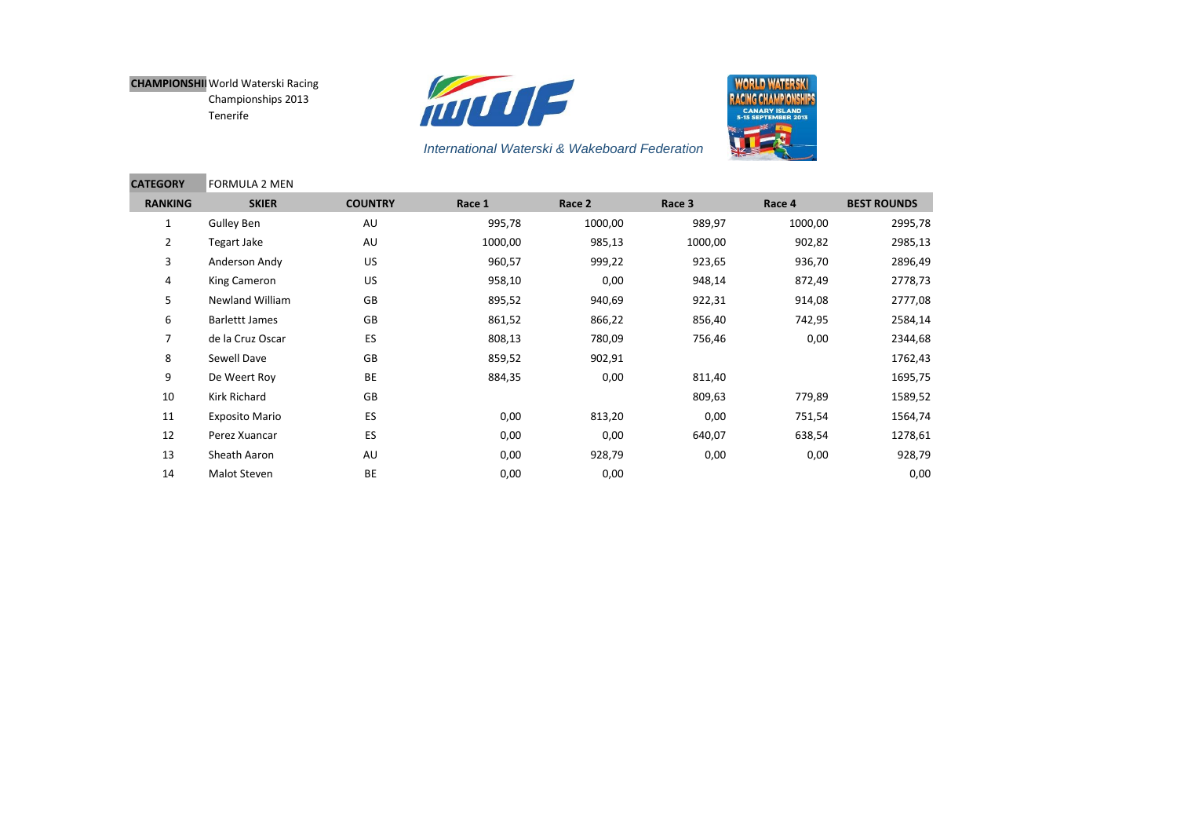



| <b>CATEGORY</b> | <b>FORMULA 2 MEN</b>   |                |         |         |         |         |                    |
|-----------------|------------------------|----------------|---------|---------|---------|---------|--------------------|
| <b>RANKING</b>  | <b>SKIER</b>           | <b>COUNTRY</b> | Race 1  | Race 2  | Race 3  | Race 4  | <b>BEST ROUNDS</b> |
| 1               | Gulley Ben             | AU             | 995,78  | 1000,00 | 989,97  | 1000,00 | 2995,78            |
| 2               | Tegart Jake            | AU             | 1000,00 | 985,13  | 1000,00 | 902,82  | 2985,13            |
| 3               | Anderson Andy          | US             | 960,57  | 999,22  | 923,65  | 936,70  | 2896,49            |
| 4               | King Cameron           | US             | 958,10  | 0,00    | 948,14  | 872,49  | 2778,73            |
| 5               | <b>Newland William</b> | GB             | 895,52  | 940,69  | 922,31  | 914,08  | 2777,08            |
| 6               | <b>Barlettt James</b>  | GB             | 861,52  | 866,22  | 856,40  | 742,95  | 2584,14            |
| 7               | de la Cruz Oscar       | ES             | 808,13  | 780,09  | 756,46  | 0,00    | 2344,68            |
| 8               | Sewell Dave            | GB             | 859,52  | 902,91  |         |         | 1762,43            |
| 9               | De Weert Roy           | BE             | 884,35  | 0,00    | 811,40  |         | 1695,75            |
| 10              | Kirk Richard           | GB             |         |         | 809,63  | 779,89  | 1589,52            |
| 11              | <b>Exposito Mario</b>  | ES             | 0,00    | 813,20  | 0,00    | 751,54  | 1564,74            |
| 12              | Perez Xuancar          | ES             | 0,00    | 0,00    | 640,07  | 638,54  | 1278,61            |
| 13              | Sheath Aaron           | AU             | 0,00    | 928,79  | 0,00    | 0,00    | 928,79             |
| 14              | Malot Steven           | BE             | 0,00    | 0,00    |         |         | 0,00               |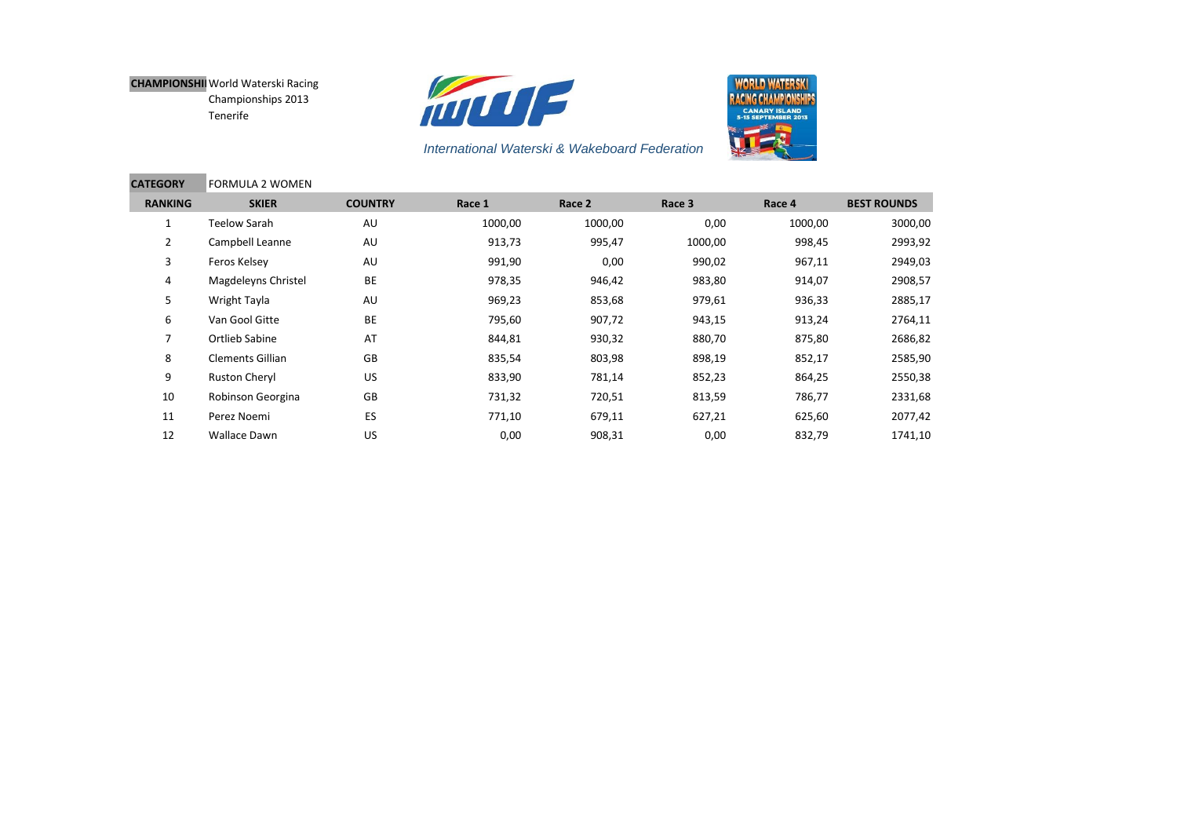



| <b>CATEGORY</b> | <b>FORMULA 2 WOMEN</b>  |                |         |         |         |         |                    |
|-----------------|-------------------------|----------------|---------|---------|---------|---------|--------------------|
| <b>RANKING</b>  | <b>SKIER</b>            | <b>COUNTRY</b> | Race 1  | Race 2  | Race 3  | Race 4  | <b>BEST ROUNDS</b> |
|                 | <b>Teelow Sarah</b>     | AU             | 1000,00 | 1000,00 | 0,00    | 1000,00 | 3000,00            |
| $\overline{2}$  | Campbell Leanne         | AU             | 913,73  | 995,47  | 1000,00 | 998,45  | 2993,92            |
| 3               | Feros Kelsey            | AU             | 991,90  | 0,00    | 990,02  | 967,11  | 2949,03            |
| 4               | Magdeleyns Christel     | BE             | 978,35  | 946,42  | 983,80  | 914,07  | 2908,57            |
| 5               | Wright Tayla            | AU             | 969,23  | 853,68  | 979,61  | 936,33  | 2885,17            |
| 6               | Van Gool Gitte          | BE             | 795,60  | 907,72  | 943,15  | 913,24  | 2764,11            |
| 7               | Ortlieb Sabine          | AT             | 844,81  | 930,32  | 880,70  | 875,80  | 2686,82            |
| 8               | <b>Clements Gillian</b> | GB             | 835,54  | 803,98  | 898,19  | 852,17  | 2585,90            |
| 9               | Ruston Cheryl           | US             | 833,90  | 781,14  | 852,23  | 864,25  | 2550,38            |
| 10              | Robinson Georgina       | GB             | 731,32  | 720,51  | 813,59  | 786,77  | 2331,68            |
| 11              | Perez Noemi             | ES             | 771,10  | 679,11  | 627,21  | 625,60  | 2077,42            |
| 12              | Wallace Dawn            | US             | 0,00    | 908,31  | 0,00    | 832,79  | 1741,10            |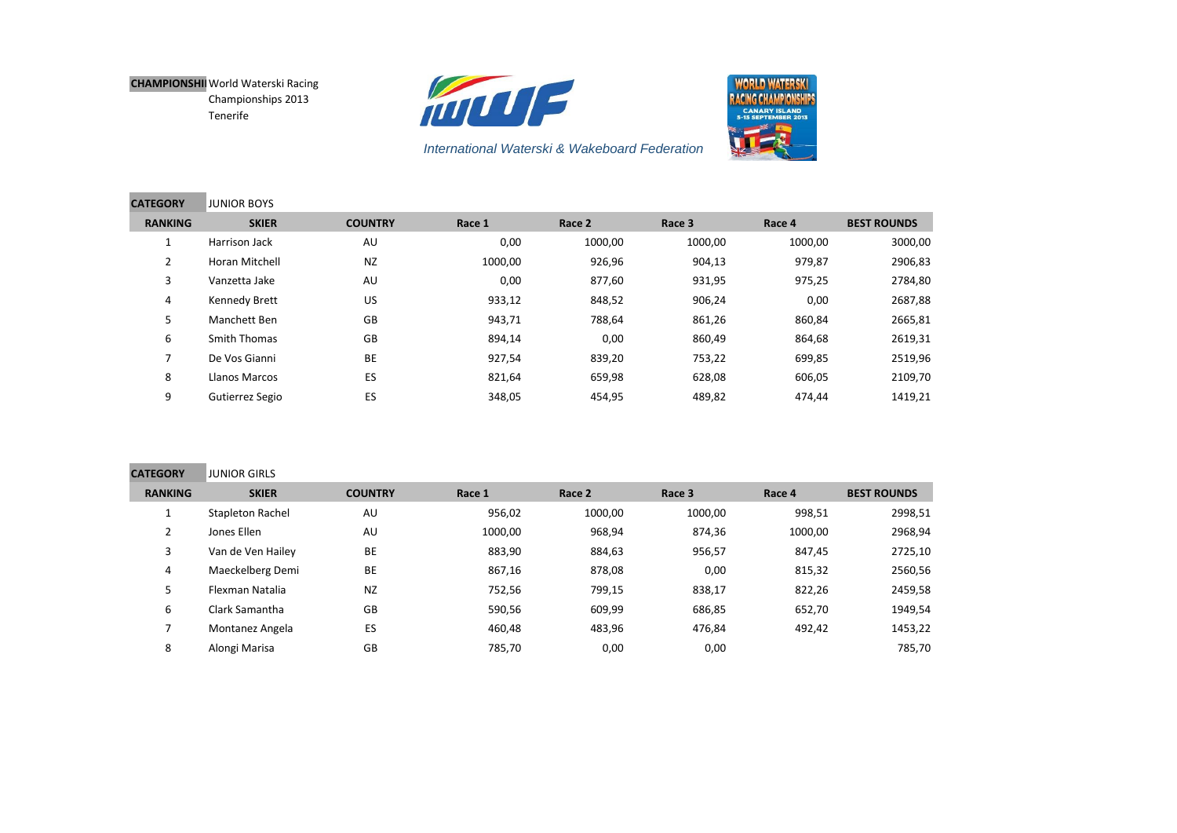**Contract Contract Contract** 





| <b>CATEGORY</b> | <b>JUNIOR BOYS</b>  |                |         |         |         |         |                    |
|-----------------|---------------------|----------------|---------|---------|---------|---------|--------------------|
| <b>RANKING</b>  | <b>SKIER</b>        | <b>COUNTRY</b> | Race 1  | Race 2  | Race 3  | Race 4  | <b>BEST ROUNDS</b> |
|                 | Harrison Jack       | AU             | 0,00    | 1000,00 | 1000,00 | 1000,00 | 3000,00            |
| $\overline{2}$  | Horan Mitchell      | <b>NZ</b>      | 1000,00 | 926,96  | 904,13  | 979,87  | 2906,83            |
| 3               | Vanzetta Jake       | AU             | 0,00    | 877,60  | 931,95  | 975,25  | 2784,80            |
| 4               | Kennedy Brett       | US             | 933,12  | 848,52  | 906,24  | 0,00    | 2687,88            |
| 5               | Manchett Ben        | GB             | 943,71  | 788,64  | 861,26  | 860,84  | 2665,81            |
| 6               | <b>Smith Thomas</b> | GB             | 894,14  | 0,00    | 860,49  | 864,68  | 2619,31            |
|                 | De Vos Gianni       | <b>BE</b>      | 927,54  | 839,20  | 753,22  | 699,85  | 2519,96            |
| 8               | Llanos Marcos       | ES             | 821,64  | 659,98  | 628,08  | 606,05  | 2109,70            |
| 9               | Gutierrez Segio     | ES             | 348,05  | 454,95  | 489,82  | 474,44  | 1419,21            |

| <b>CATEGORY</b> | <b>JUNIOR GIRLS</b>     |                |         |         |         |         |                    |
|-----------------|-------------------------|----------------|---------|---------|---------|---------|--------------------|
| <b>RANKING</b>  | <b>SKIER</b>            | <b>COUNTRY</b> | Race 1  | Race 2  | Race 3  | Race 4  | <b>BEST ROUNDS</b> |
|                 | <b>Stapleton Rachel</b> | AU             | 956,02  | 1000,00 | 1000,00 | 998,51  | 2998,51            |
|                 | Jones Ellen             | AU             | 1000,00 | 968,94  | 874,36  | 1000,00 | 2968,94            |
| 3               | Van de Ven Hailey       | BE             | 883,90  | 884,63  | 956,57  | 847,45  | 2725,10            |
| 4               | Maeckelberg Demi        | <b>BE</b>      | 867,16  | 878,08  | 0,00    | 815,32  | 2560,56            |
| 5.              | Flexman Natalia         | <b>NZ</b>      | 752,56  | 799,15  | 838,17  | 822,26  | 2459,58            |
| 6               | Clark Samantha          | GB             | 590,56  | 609,99  | 686,85  | 652,70  | 1949,54            |
|                 | Montanez Angela         | ES             | 460,48  | 483,96  | 476,84  | 492,42  | 1453,22            |
| 8               | Alongi Marisa           | GB             | 785,70  | 0,00    | 0,00    |         | 785,70             |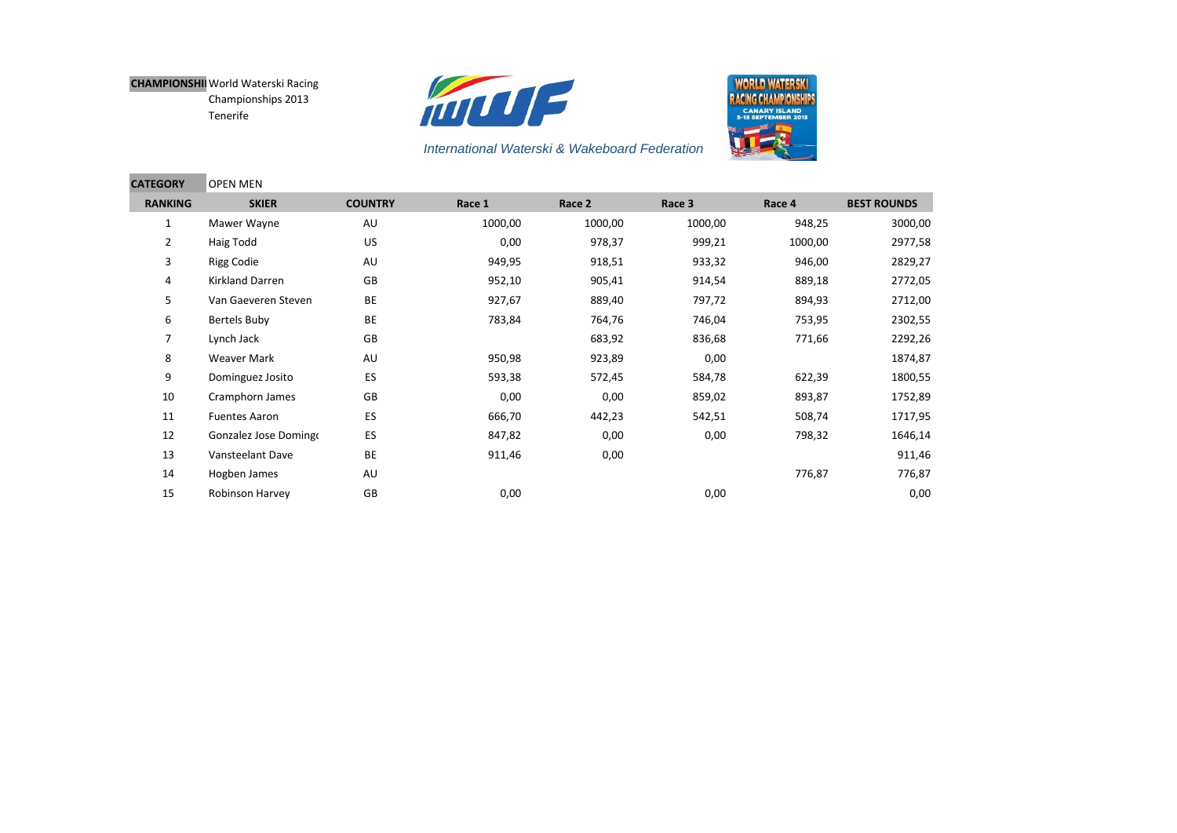**Contract Contract Contract** 





| <b>CATEGORY</b> | <b>OPEN MEN</b>       |                |         |         |         |         |                    |
|-----------------|-----------------------|----------------|---------|---------|---------|---------|--------------------|
| <b>RANKING</b>  | <b>SKIER</b>          | <b>COUNTRY</b> | Race 1  | Race 2  | Race 3  | Race 4  | <b>BEST ROUNDS</b> |
| $\mathbf{1}$    | Mawer Wayne           | AU             | 1000,00 | 1000,00 | 1000,00 | 948,25  | 3000,00            |
| $\overline{2}$  | Haig Todd             | US             | 0,00    | 978,37  | 999,21  | 1000,00 | 2977,58            |
| 3               | <b>Rigg Codie</b>     | AU             | 949,95  | 918,51  | 933,32  | 946,00  | 2829,27            |
| 4               | Kirkland Darren       | GB             | 952,10  | 905,41  | 914,54  | 889,18  | 2772,05            |
| 5               | Van Gaeveren Steven   | <b>BE</b>      | 927,67  | 889,40  | 797,72  | 894,93  | 2712,00            |
| 6               | Bertels Buby          | BE             | 783,84  | 764,76  | 746,04  | 753,95  | 2302,55            |
| $\overline{7}$  | Lynch Jack            | GB             |         | 683,92  | 836,68  | 771,66  | 2292,26            |
| 8               | Weaver Mark           | AU             | 950,98  | 923,89  | 0,00    |         | 1874,87            |
| 9               | Dominguez Josito      | ES             | 593,38  | 572,45  | 584,78  | 622,39  | 1800,55            |
| 10              | Cramphorn James       | GB             | 0,00    | 0,00    | 859,02  | 893,87  | 1752,89            |
| 11              | <b>Fuentes Aaron</b>  | ES             | 666,70  | 442,23  | 542,51  | 508,74  | 1717,95            |
| 12              | Gonzalez Jose Domingo | ES             | 847,82  | 0,00    | 0,00    | 798,32  | 1646,14            |
| 13              | Vansteelant Dave      | BE             | 911,46  | 0,00    |         |         | 911,46             |
| 14              | Hogben James          | AU             |         |         |         | 776,87  | 776,87             |
| 15              | Robinson Harvey       | GB             | 0,00    |         | 0,00    |         | 0,00               |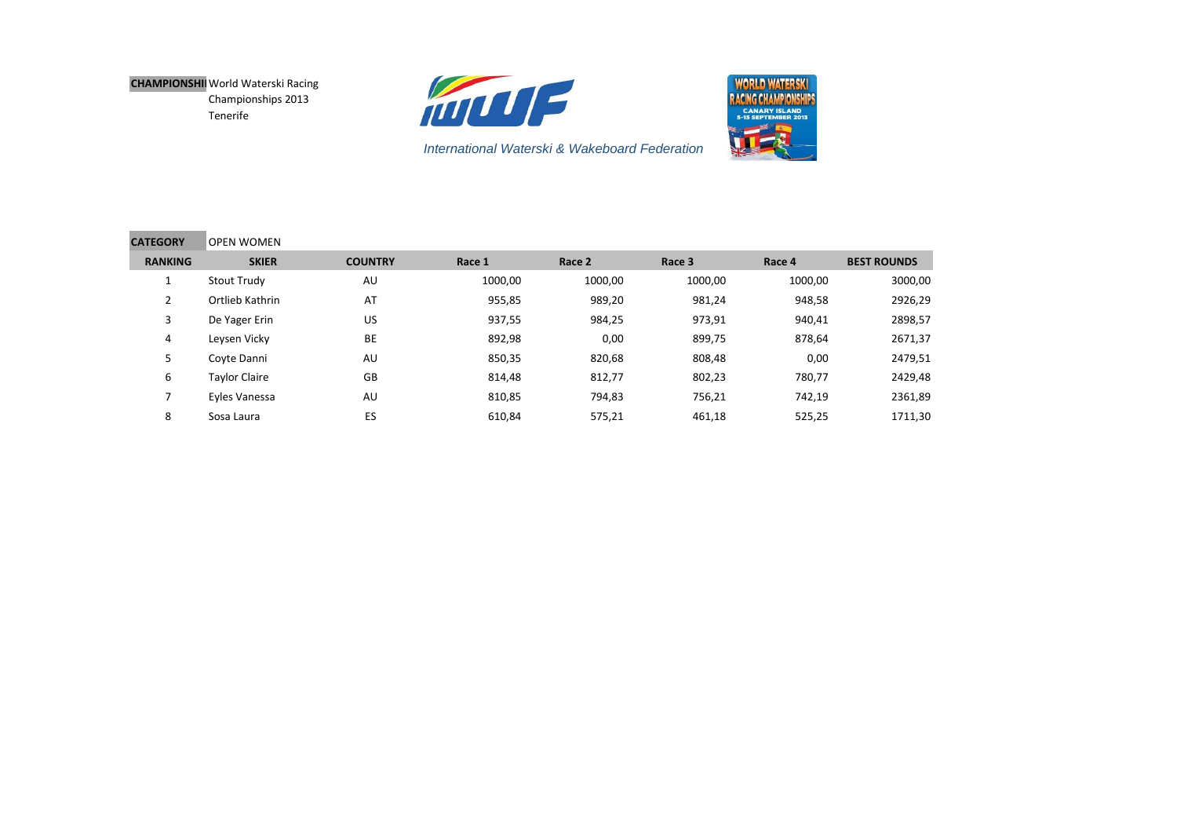



| <b>CATEGORY</b>          | <b>OPEN WOMEN</b>    |                |         |         |         |         |                    |
|--------------------------|----------------------|----------------|---------|---------|---------|---------|--------------------|
| <b>RANKING</b>           | <b>SKIER</b>         | <b>COUNTRY</b> | Race 1  | Race 2  | Race 3  | Race 4  | <b>BEST ROUNDS</b> |
|                          | Stout Trudy          | AU             | 1000,00 | 1000,00 | 1000,00 | 1000,00 | 3000,00            |
| 2                        | Ortlieb Kathrin      | AT             | 955,85  | 989,20  | 981,24  | 948,58  | 2926,29            |
| 3                        | De Yager Erin        | US             | 937,55  | 984,25  | 973,91  | 940,41  | 2898,57            |
| 4                        | Leysen Vicky         | BE             | 892,98  | 0,00    | 899,75  | 878,64  | 2671,37            |
| 5                        | Coyte Danni          | AU             | 850,35  | 820,68  | 808,48  | 0,00    | 2479,51            |
| 6                        | <b>Taylor Claire</b> | GB             | 814,48  | 812,77  | 802,23  | 780,77  | 2429,48            |
| $\overline{\phantom{a}}$ | Eyles Vanessa        | AU             | 810,85  | 794,83  | 756,21  | 742,19  | 2361,89            |
| 8                        | Sosa Laura           | ES             | 610,84  | 575,21  | 461,18  | 525,25  | 1711,30            |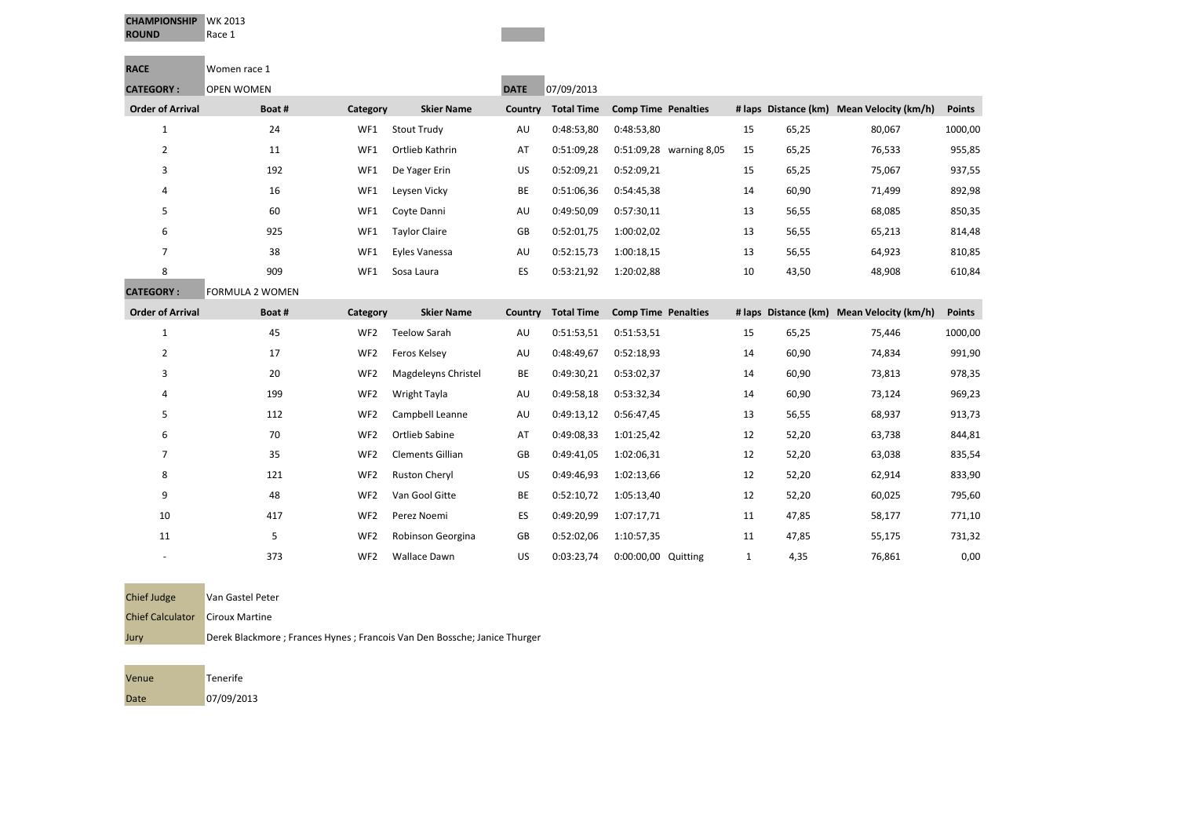| <b>CHAMPIONSHIP</b> | WK 2013 |
|---------------------|---------|
| <b>ROUND</b>        | Race 1  |

| <b>RACE</b>             | Women race 1           |                 |                         |             |                   |                            |              |       |                                           |               |
|-------------------------|------------------------|-----------------|-------------------------|-------------|-------------------|----------------------------|--------------|-------|-------------------------------------------|---------------|
| <b>CATEGORY:</b>        | <b>OPEN WOMEN</b>      |                 |                         | <b>DATE</b> | 07/09/2013        |                            |              |       |                                           |               |
| <b>Order of Arrival</b> | Boat#                  | Category        | <b>Skier Name</b>       | Country     | <b>Total Time</b> | <b>Comp Time Penalties</b> |              |       | # laps Distance (km) Mean Velocity (km/h) | <b>Points</b> |
| $\mathbf{1}$            | 24                     | WF1             | <b>Stout Trudy</b>      | AU          | 0:48:53,80        | 0:48:53,80                 | 15           | 65,25 | 80,067                                    | 1000,00       |
| $\overline{2}$          | 11                     | WF1             | Ortlieb Kathrin         | AT          | 0:51:09,28        | 0:51:09,28 warning 8,05    | 15           | 65,25 | 76,533                                    | 955,85        |
| 3                       | 192                    | WF1             | De Yager Erin           | US          | 0:52:09,21        | 0:52:09,21                 | 15           | 65,25 | 75,067                                    | 937,55        |
| 4                       | 16                     | WF1             | Leysen Vicky            | BE          | 0:51:06,36        | 0:54:45,38                 | 14           | 60,90 | 71,499                                    | 892,98        |
| 5                       | 60                     | WF1             | Coyte Danni             | AU          | 0:49:50,09        | 0:57:30,11                 | 13           | 56,55 | 68,085                                    | 850,35        |
| 6                       | 925                    | WF1             | <b>Taylor Claire</b>    | GB          | 0:52:01,75        | 1:00:02,02                 | 13           | 56,55 | 65,213                                    | 814,48        |
| $\overline{7}$          | 38                     | WF1             | Eyles Vanessa           | AU          | 0:52:15,73        | 1:00:18,15                 | 13           | 56,55 | 64,923                                    | 810,85        |
| 8                       | 909                    | WF1             | Sosa Laura              | ES          | 0:53:21,92        | 1:20:02,88                 | 10           | 43,50 | 48,908                                    | 610,84        |
| <b>CATEGORY:</b>        | <b>FORMULA 2 WOMEN</b> |                 |                         |             |                   |                            |              |       |                                           |               |
| <b>Order of Arrival</b> | Boat#                  | Category        | <b>Skier Name</b>       | Country     | <b>Total Time</b> | <b>Comp Time Penalties</b> |              |       | # laps Distance (km) Mean Velocity (km/h) | Points        |
| $\mathbf 1$             | 45                     | WF <sub>2</sub> | <b>Teelow Sarah</b>     | AU          | 0:51:53,51        | 0:51:53,51                 | 15           | 65,25 | 75,446                                    | 1000,00       |
| $\overline{2}$          | 17                     | WF <sub>2</sub> | Feros Kelsey            | AU          | 0:48:49,67        | 0:52:18,93                 | 14           | 60,90 | 74,834                                    | 991,90        |
| 3                       | 20                     | WF <sub>2</sub> | Magdeleyns Christel     | BE          | 0:49:30,21        | 0:53:02,37                 | 14           | 60,90 | 73,813                                    | 978,35        |
| 4                       | 199                    | WF <sub>2</sub> | Wright Tayla            | AU          | 0:49:58,18        | 0:53:32,34                 | 14           | 60,90 | 73,124                                    | 969,23        |
| 5                       | 112                    | WF <sub>2</sub> | Campbell Leanne         | AU          | 0:49:13,12        | 0:56:47,45                 | 13           | 56,55 | 68,937                                    | 913,73        |
| 6                       | 70                     | WF <sub>2</sub> | Ortlieb Sabine          | AT          | 0:49:08,33        | 1:01:25,42                 | 12           | 52,20 | 63,738                                    | 844,81        |
| 7                       | 35                     | WF <sub>2</sub> | <b>Clements Gillian</b> | GB          | 0:49:41,05        | 1:02:06,31                 | 12           | 52,20 | 63,038                                    | 835,54        |
| 8                       | 121                    | WF <sub>2</sub> | <b>Ruston Cheryl</b>    | US          | 0:49:46,93        | 1:02:13,66                 | 12           | 52,20 | 62,914                                    | 833,90        |
| 9                       | 48                     | WF <sub>2</sub> | Van Gool Gitte          | BE          | 0:52:10,72        | 1:05:13,40                 | 12           | 52,20 | 60,025                                    | 795,60        |
| 10                      | 417                    | WF <sub>2</sub> | Perez Noemi             | ES          | 0:49:20,99        | 1:07:17,71                 | 11           | 47,85 | 58,177                                    | 771,10        |
| 11                      | 5                      | WF <sub>2</sub> | Robinson Georgina       | GB          | 0:52:02,06        | 1:10:57,35                 | 11           | 47,85 | 55,175                                    | 731,32        |
|                         | 373                    | WF <sub>2</sub> | <b>Wallace Dawn</b>     | US          | 0:03:23,74        | 0:00:00,00 Quitting        | $\mathbf{1}$ | 4,35  | 76,861                                    | 0,00          |

| <b>Chief Judge</b>      | Van Gastel Peter                                                           |
|-------------------------|----------------------------------------------------------------------------|
| <b>Chief Calculator</b> | <b>Ciroux Martine</b>                                                      |
| Jury                    | Derek Blackmore ; Frances Hynes ; Francois Van Den Bossche; Janice Thurger |

| Venue | Tenerife   |
|-------|------------|
| Date  | 07/09/2013 |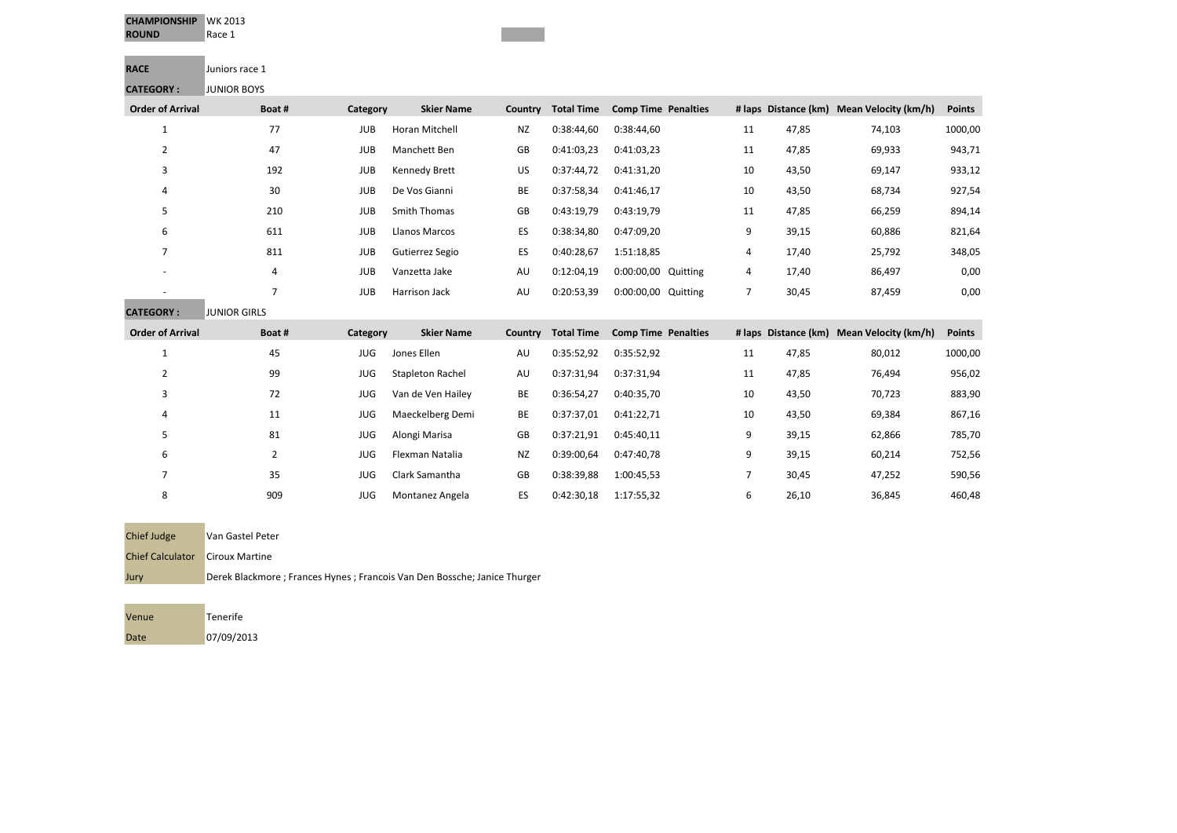| <b>CHAMPIONSHIP</b><br><b>ROUND</b> | <b>WK 2013</b><br>Race 1 |            |                         |           |                   |                            |                |       |                                           |               |
|-------------------------------------|--------------------------|------------|-------------------------|-----------|-------------------|----------------------------|----------------|-------|-------------------------------------------|---------------|
| <b>RACE</b>                         | Juniors race 1           |            |                         |           |                   |                            |                |       |                                           |               |
| <b>CATEGORY:</b>                    | <b>JUNIOR BOYS</b>       |            |                         |           |                   |                            |                |       |                                           |               |
| <b>Order of Arrival</b>             | Boat#                    | Category   | <b>Skier Name</b>       | Country   | <b>Total Time</b> | <b>Comp Time Penalties</b> |                |       | # laps Distance (km) Mean Velocity (km/h) | <b>Points</b> |
| $\mathbf{1}$                        | 77                       | <b>JUB</b> | Horan Mitchell          | <b>NZ</b> | 0:38:44,60        | 0:38:44,60                 | 11             | 47,85 | 74,103                                    | 1000,00       |
| 2                                   | 47                       | <b>JUB</b> | Manchett Ben            | GB        | 0:41:03,23        | 0:41:03,23                 | 11             | 47,85 | 69,933                                    | 943,71        |
| 3                                   | 192                      | <b>JUB</b> | Kennedy Brett           | US        | 0:37:44,72        | 0:41:31,20                 | 10             | 43,50 | 69,147                                    | 933,12        |
| 4                                   | 30                       | <b>JUB</b> | De Vos Gianni           | BE        | 0:37:58,34        | 0:41:46,17                 | 10             | 43,50 | 68,734                                    | 927,54        |
| 5                                   | 210                      | <b>JUB</b> | Smith Thomas            | GB        | 0:43:19,79        | 0:43:19,79                 | 11             | 47,85 | 66,259                                    | 894,14        |
| 6                                   | 611                      | <b>JUB</b> | <b>Llanos Marcos</b>    | ES        | 0:38:34,80        | 0:47:09,20                 | 9              | 39,15 | 60,886                                    | 821,64        |
| 7                                   | 811                      | <b>JUB</b> | Gutierrez Segio         | ES        | 0:40:28,67        | 1:51:18,85                 | 4              | 17,40 | 25,792                                    | 348,05        |
|                                     | 4                        | <b>JUB</b> | Vanzetta Jake           | AU        | 0:12:04,19        | 0:00:00,00 Quitting        | 4              | 17,40 | 86,497                                    | 0,00          |
|                                     | $\overline{7}$           | <b>JUB</b> | Harrison Jack           | AU        | 0:20:53,39        | 0:00:00,00 Quitting        | $\overline{7}$ | 30,45 | 87,459                                    | 0,00          |
| <b>CATEGORY:</b>                    | <b>JUNIOR GIRLS</b>      |            |                         |           |                   |                            |                |       |                                           |               |
| <b>Order of Arrival</b>             | Boat#                    | Category   | <b>Skier Name</b>       | Country   | <b>Total Time</b> | <b>Comp Time Penalties</b> |                |       | # laps Distance (km) Mean Velocity (km/h) | <b>Points</b> |
| $\mathbf 1$                         | 45                       | <b>JUG</b> | Jones Ellen             | AU        | 0:35:52,92        | 0:35:52,92                 | 11             | 47,85 | 80,012                                    | 1000,00       |
| 2                                   | 99                       | <b>JUG</b> | <b>Stapleton Rachel</b> | AU        | 0:37:31,94        | 0:37:31,94                 | 11             | 47,85 | 76,494                                    | 956,02        |
| 3                                   | 72                       | <b>JUG</b> | Van de Ven Hailey       | BE        | 0:36:54,27        | 0:40:35,70                 | 10             | 43,50 | 70,723                                    | 883,90        |
| 4                                   | 11                       | <b>JUG</b> | Maeckelberg Demi        | BE        | 0:37:37,01        | 0:41:22,71                 | 10             | 43,50 | 69,384                                    | 867,16        |
| 5                                   | 81                       | <b>JUG</b> | Alongi Marisa           | GB        | 0:37:21,91        | 0:45:40,11                 | 9              | 39,15 | 62,866                                    | 785,70        |
| 6                                   | $\overline{2}$           | <b>JUG</b> | Flexman Natalia         | <b>NZ</b> | 0:39:00,64        | 0:47:40,78                 | 9              | 39,15 | 60,214                                    | 752,56        |
| 7                                   | 35                       | <b>JUG</b> | Clark Samantha          | GB        | 0:38:39,88        | 1:00:45,53                 | 7              | 30,45 | 47,252                                    | 590,56        |
| 8                                   | 909                      | JUG        | Montanez Angela         | ES        | 0:42:30,18        | 1:17:55,32                 | 6              | 26,10 | 36,845                                    | 460,48        |

| <b>Chief Judge</b>      | Van Gastel Peter      |
|-------------------------|-----------------------|
| <b>Chief Calculator</b> | <b>Ciroux Martine</b> |
| Jury                    | Derek Blackmore ;     |

; Frances Hynes ; Francois Van Den Bossche; Janice Thurger

| Venue | Tenerife   |
|-------|------------|
| Date  | 07/09/2013 |

**The State**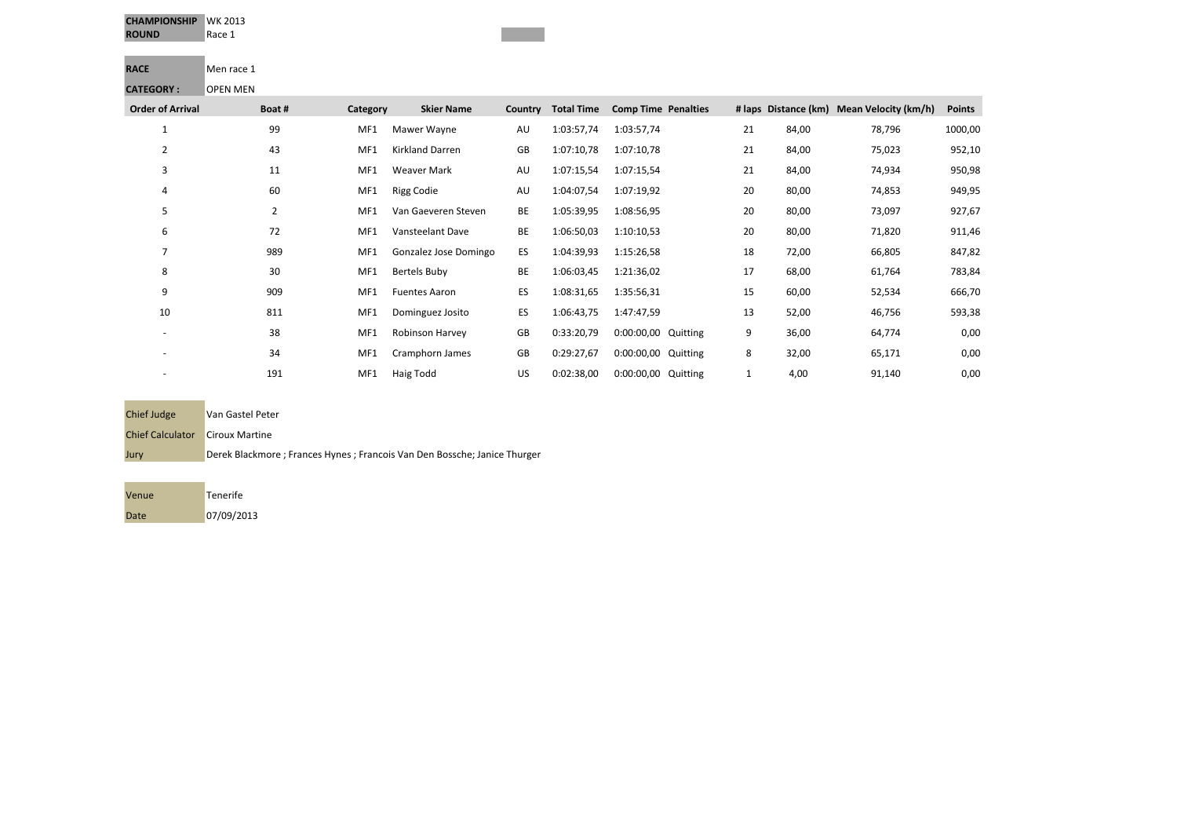| <b>CHAMPIONSHIP</b> | WK 2013 |
|---------------------|---------|
| <b>ROUND</b>        | Race 1  |

**RACE** Men race 1 **CATEGORY :** OPEN MEN

| : נאובשטחו               | <b>UPEN IVIEN</b> |          |                        |         |                   |                            |    |       |                                           |               |
|--------------------------|-------------------|----------|------------------------|---------|-------------------|----------------------------|----|-------|-------------------------------------------|---------------|
| <b>Order of Arrival</b>  | Boat#             | Category | <b>Skier Name</b>      | Country | <b>Total Time</b> | <b>Comp Time Penalties</b> |    |       | # laps Distance (km) Mean Velocity (km/h) | <b>Points</b> |
| 1                        | 99                | MF1      | Mawer Wayne            | AU      | 1:03:57,74        | 1:03:57,74                 | 21 | 84,00 | 78,796                                    | 1000,00       |
| 2                        | 43                | MF1      | <b>Kirkland Darren</b> | GB      | 1:07:10,78        | 1:07:10,78                 | 21 | 84,00 | 75,023                                    | 952,10        |
| 3                        | 11                | MF1      | <b>Weaver Mark</b>     | AU      | 1:07:15,54        | 1:07:15,54                 | 21 | 84,00 | 74,934                                    | 950,98        |
| 4                        | 60                | MF1      | <b>Rigg Codie</b>      | AU      | 1:04:07,54        | 1:07:19,92                 | 20 | 80,00 | 74,853                                    | 949,95        |
| 5                        | $\overline{2}$    | MF1      | Van Gaeveren Steven    | BE      | 1:05:39,95        | 1:08:56,95                 | 20 | 80,00 | 73,097                                    | 927,67        |
| 6                        | 72                | MF1      | Vansteelant Dave       | BE      | 1:06:50,03        | 1:10:10,53                 | 20 | 80,00 | 71,820                                    | 911,46        |
|                          | 989               | MF1      | Gonzalez Jose Domingo  | ES      | 1:04:39,93        | 1:15:26,58                 | 18 | 72,00 | 66,805                                    | 847,82        |
| 8                        | 30                | MF1      | <b>Bertels Buby</b>    | BE      | 1:06:03,45        | 1:21:36,02                 | 17 | 68,00 | 61,764                                    | 783,84        |
| 9                        | 909               | MF1      | <b>Fuentes Aaron</b>   | ES      | 1:08:31,65        | 1:35:56,31                 | 15 | 60,00 | 52,534                                    | 666,70        |
| 10                       | 811               | MF1      | Dominguez Josito       | ES      | 1:06:43,75        | 1:47:47,59                 | 13 | 52,00 | 46,756                                    | 593,38        |
| ٠                        | 38                | MF1      | Robinson Harvey        | GB      | 0:33:20,79        | 0:00:00,00 Quitting        | 9  | 36,00 | 64,774                                    | 0,00          |
|                          | 34                | MF1      | Cramphorn James        | GB      | 0:29:27,67        | 0:00:00,00<br>Quitting     | 8  | 32,00 | 65,171                                    | 0,00          |
| $\overline{\phantom{a}}$ | 191               | MF1      | Haig Todd              | US      | 0:02:38,00        | 0:00:00,00 Quitting        |    | 4,00  | 91,140                                    | 0,00          |

| <b>Chief Judge</b>      | Van Gastel Peter      |
|-------------------------|-----------------------|
| <b>Chief Calculator</b> | <b>Ciroux Martine</b> |
| Jury                    | Derek Blackmore       |

g; Frances Hynes ; Francois Van Den Bossche; Janice Thurger

Venue Tenerife Date 07/09/2013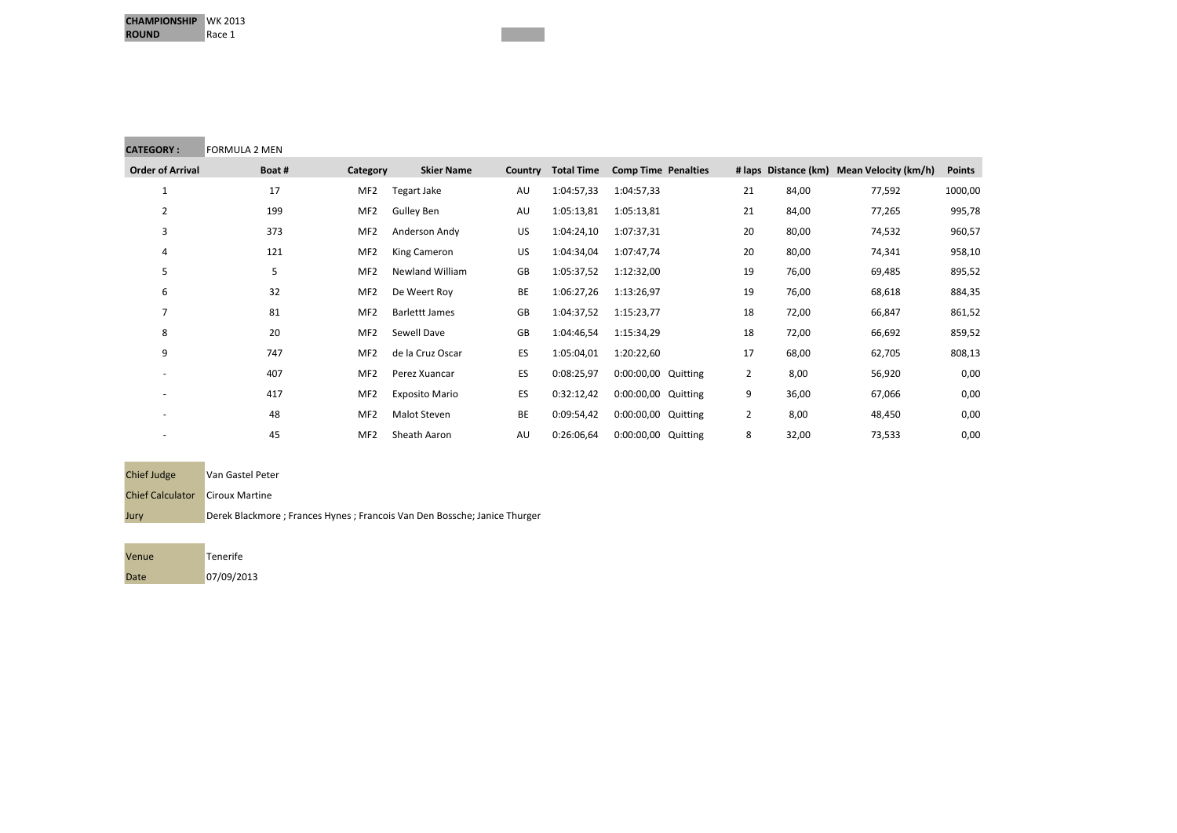**Contract Contract Contract** 

| <b>CATEGORY:</b>        | FORMULA 2 MEN |                 |                       |         |                   |                            |                |       |                                           |               |
|-------------------------|---------------|-----------------|-----------------------|---------|-------------------|----------------------------|----------------|-------|-------------------------------------------|---------------|
| <b>Order of Arrival</b> | Boat#         | Category        | <b>Skier Name</b>     | Country | <b>Total Time</b> | <b>Comp Time Penalties</b> |                |       | # laps Distance (km) Mean Velocity (km/h) | <b>Points</b> |
| $\mathbf{1}$            | 17            | MF <sub>2</sub> | Tegart Jake           | AU      | 1:04:57,33        | 1:04:57,33                 | 21             | 84,00 | 77,592                                    | 1000,00       |
| $\overline{2}$          | 199           | MF <sub>2</sub> | <b>Gulley Ben</b>     | AU      | 1:05:13,81        | 1:05:13,81                 | 21             | 84,00 | 77,265                                    | 995,78        |
| 3                       | 373           | MF <sub>2</sub> | Anderson Andy         | US      | 1:04:24,10        | 1:07:37,31                 | 20             | 80,00 | 74,532                                    | 960,57        |
| 4                       | 121           | MF <sub>2</sub> | King Cameron          | US      | 1:04:34,04        | 1:07:47,74                 | 20             | 80,00 | 74,341                                    | 958,10        |
| 5                       | 5             | MF <sub>2</sub> | Newland William       | GB      | 1:05:37,52        | 1:12:32,00                 | 19             | 76,00 | 69,485                                    | 895,52        |
| 6                       | 32            | MF <sub>2</sub> | De Weert Roy          | BE      | 1:06:27,26        | 1:13:26,97                 | 19             | 76,00 | 68,618                                    | 884,35        |
| 7                       | 81            | MF <sub>2</sub> | <b>Barlettt James</b> | GB      | 1:04:37,52        | 1:15:23,77                 | 18             | 72,00 | 66,847                                    | 861,52        |
| 8                       | 20            | MF <sub>2</sub> | Sewell Dave           | GB      | 1:04:46,54        | 1:15:34,29                 | 18             | 72,00 | 66,692                                    | 859,52        |
| 9                       | 747           | MF <sub>2</sub> | de la Cruz Oscar      | ES      | 1:05:04,01        | 1:20:22,60                 | 17             | 68,00 | 62,705                                    | 808,13        |
|                         | 407           | MF <sub>2</sub> | Perez Xuancar         | ES      | 0:08:25,97        | 0:00:00,00 Quitting        | $\overline{2}$ | 8,00  | 56,920                                    | 0,00          |
|                         | 417           | MF <sub>2</sub> | <b>Exposito Mario</b> | ES      | 0:32:12,42        | 0:00:00,00 Quitting        | 9              | 36,00 | 67,066                                    | 0,00          |
|                         | 48            | MF <sub>2</sub> | Malot Steven          | BE      | 0:09:54,42        | 0:00:00,00 Quitting        | $\overline{2}$ | 8,00  | 48,450                                    | 0,00          |
|                         | 45            | MF <sub>2</sub> | Sheath Aaron          | AU      | 0:26:06,64        | 0:00:00,00 Quitting        | 8              | 32,00 | 73,533                                    | 0,00          |

| <b>Chief Judge</b>      | Van Gastel Peter                                                           |
|-------------------------|----------------------------------------------------------------------------|
| <b>Chief Calculator</b> | <b>Ciroux Martine</b>                                                      |
| Jury                    | Derek Blackmore ; Frances Hynes ; Francois Van Den Bossche; Janice Thurger |
|                         |                                                                            |

Venue Tenerife Date 07/09/2013

the control of the control of the control of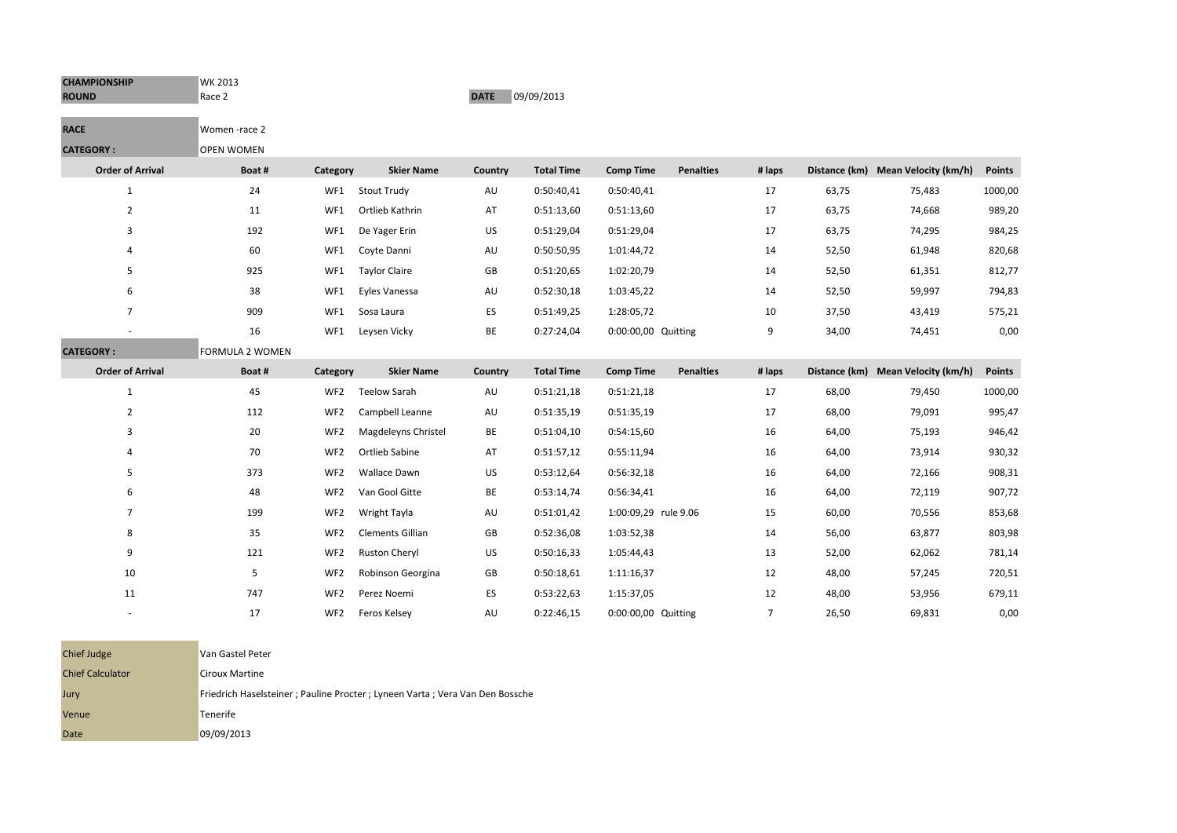| <b>CHAMPIONSHIP</b><br><b>ROUND</b> | WK 2013<br>Race 2      |                 |                      | <b>DATE</b> | 09/09/2013        |                      |                  |                |       |                                    |               |
|-------------------------------------|------------------------|-----------------|----------------------|-------------|-------------------|----------------------|------------------|----------------|-------|------------------------------------|---------------|
| <b>RACE</b>                         | Women-race 2           |                 |                      |             |                   |                      |                  |                |       |                                    |               |
| <b>CATEGORY:</b>                    | <b>OPEN WOMEN</b>      |                 |                      |             |                   |                      |                  |                |       |                                    |               |
| <b>Order of Arrival</b>             | Boat #                 | Category        | <b>Skier Name</b>    | Country     | <b>Total Time</b> | <b>Comp Time</b>     | <b>Penalties</b> | # laps         |       | Distance (km) Mean Velocity (km/h) | <b>Points</b> |
| $\mathbf{1}$                        | 24                     | WF1             | <b>Stout Trudy</b>   | AU          | 0:50:40,41        | 0:50:40,41           |                  | 17             | 63,75 | 75,483                             | 1000,00       |
| $\overline{2}$                      | 11                     | WF1             | Ortlieb Kathrin      | AT          | 0:51:13,60        | 0:51:13,60           |                  | 17             | 63,75 | 74,668                             | 989,20        |
| 3                                   | 192                    | WF1             | De Yager Erin        | US          | 0:51:29,04        | 0:51:29,04           |                  | 17             | 63,75 | 74,295                             | 984,25        |
| 4                                   | 60                     | WF1             | Coyte Danni          | AU          | 0:50:50,95        | 1:01:44,72           |                  | 14             | 52,50 | 61,948                             | 820,68        |
| 5                                   | 925                    | WF1             | <b>Taylor Claire</b> | GB          | 0:51:20,65        | 1:02:20,79           |                  | 14             | 52,50 | 61,351                             | 812,77        |
| 6                                   | 38                     | WF1             | Eyles Vanessa        | AU          | 0:52:30,18        | 1:03:45,22           |                  | 14             | 52,50 | 59,997                             | 794,83        |
| $\overline{7}$                      | 909                    | WF1             | Sosa Laura           | ES          | 0:51:49,25        | 1:28:05,72           |                  | 10             | 37,50 | 43,419                             | 575,21        |
|                                     | 16                     | WF1             | Leysen Vicky         | BE          | 0:27:24,04        | 0:00:00,00 Quitting  |                  | 9              | 34,00 | 74,451                             | 0,00          |
| <b>CATEGORY:</b>                    | <b>FORMULA 2 WOMEN</b> |                 |                      |             |                   |                      |                  |                |       |                                    |               |
| <b>Order of Arrival</b>             | Boat #                 | Category        | <b>Skier Name</b>    | Country     | <b>Total Time</b> | <b>Comp Time</b>     | <b>Penalties</b> | # laps         |       | Distance (km) Mean Velocity (km/h) | <b>Points</b> |
| $\mathbf{1}$                        | 45                     | WF <sub>2</sub> | <b>Teelow Sarah</b>  | AU          | 0:51:21,18        | 0:51:21,18           |                  | 17             | 68,00 | 79,450                             | 1000,00       |
| $\overline{2}$                      | 112                    | WF <sub>2</sub> | Campbell Leanne      | AU          | 0:51:35,19        | 0:51:35,19           |                  | 17             | 68,00 | 79,091                             | 995,47        |
| 3                                   | 20                     | WF <sub>2</sub> | Magdeleyns Christel  | BE          | 0:51:04,10        | 0:54:15,60           |                  | 16             | 64,00 | 75,193                             | 946,42        |
| 4                                   | 70                     | WF <sub>2</sub> | Ortlieb Sabine       | AT          | 0:51:57,12        | 0:55:11,94           |                  | 16             | 64,00 | 73,914                             | 930,32        |
| 5                                   | 373                    | WF <sub>2</sub> | Wallace Dawn         | US          | 0:53:12,64        | 0:56:32,18           |                  | 16             | 64,00 | 72,166                             | 908,31        |
| 6                                   | 48                     | WF <sub>2</sub> | Van Gool Gitte       | BE          | 0:53:14,74        | 0:56:34,41           |                  | 16             | 64,00 | 72,119                             | 907,72        |
| $\overline{7}$                      | 199                    | WF <sub>2</sub> | Wright Tayla         | AU          | 0:51:01,42        | 1:00:09,29 rule 9.06 |                  | 15             | 60,00 | 70,556                             | 853,68        |
| 8                                   | 35                     | WF <sub>2</sub> | Clements Gillian     | GB          | 0:52:36,08        | 1:03:52,38           |                  | 14             | 56,00 | 63,877                             | 803,98        |
| 9                                   | 121                    | WF <sub>2</sub> | <b>Ruston Cheryl</b> | US          | 0:50:16,33        | 1:05:44,43           |                  | 13             | 52,00 | 62,062                             | 781,14        |
| 10                                  | 5                      | WF <sub>2</sub> | Robinson Georgina    | GB          | 0:50:18,61        | 1:11:16,37           |                  | 12             | 48,00 | 57,245                             | 720,51        |
| 11                                  | 747                    | WF <sub>2</sub> | Perez Noemi          | ES          | 0:53:22,63        | 1:15:37,05           |                  | 12             | 48,00 | 53,956                             | 679,11        |
|                                     | 17                     | WF <sub>2</sub> | Feros Kelsey         | AU          | 0:22:46,15        | 0:00:00,00 Quitting  |                  | $\overline{7}$ | 26,50 | 69,831                             | 0,00          |

| <b>Chief Judge</b>      | Van Gastel Peter                                                            |
|-------------------------|-----------------------------------------------------------------------------|
| <b>Chief Calculator</b> | <b>Ciroux Martine</b>                                                       |
| Jury                    | Friedrich Haselsteiner; Pauline Procter; Lyneen Varta; Vera Van Den Bossche |
| Venue                   | Tenerife                                                                    |
| Date                    | 09/09/2013                                                                  |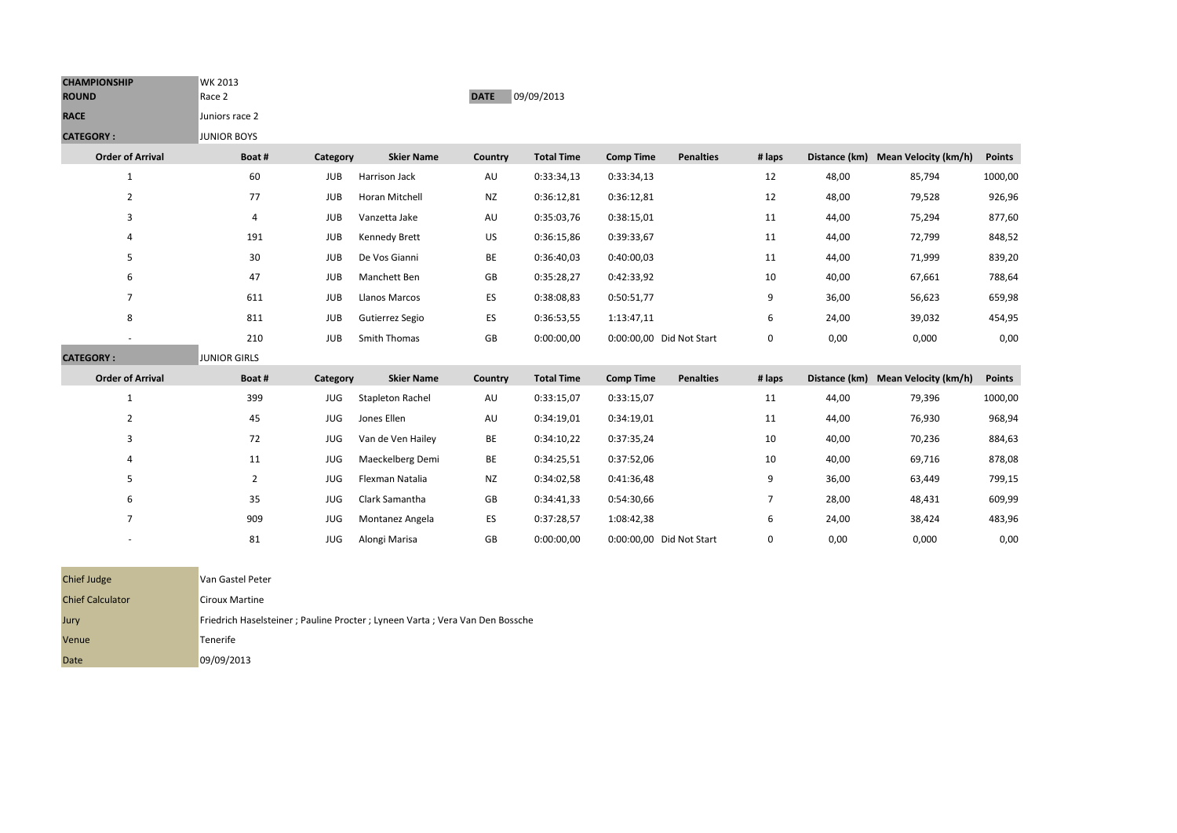| <b>CHAMPIONSHIP</b><br><b>ROUND</b> | WK 2013<br>Race 2   |            |                         | <b>DATE</b> | 09/09/2013        |                  |                          |                |       |                                    |               |
|-------------------------------------|---------------------|------------|-------------------------|-------------|-------------------|------------------|--------------------------|----------------|-------|------------------------------------|---------------|
| <b>RACE</b>                         | Juniors race 2      |            |                         |             |                   |                  |                          |                |       |                                    |               |
| <b>CATEGORY:</b>                    | <b>JUNIOR BOYS</b>  |            |                         |             |                   |                  |                          |                |       |                                    |               |
| <b>Order of Arrival</b>             | Boat#               | Category   | <b>Skier Name</b>       | Country     | <b>Total Time</b> | <b>Comp Time</b> | <b>Penalties</b>         | # laps         |       | Distance (km) Mean Velocity (km/h) | <b>Points</b> |
| $\mathbf{1}$                        | 60                  | <b>JUB</b> | Harrison Jack           | AU          | 0:33:34,13        | 0:33:34,13       |                          | 12             | 48,00 | 85,794                             | 1000,00       |
| $\overline{2}$                      | 77                  | <b>JUB</b> | Horan Mitchell          | <b>NZ</b>   | 0:36:12,81        | 0:36:12,81       |                          | 12             | 48,00 | 79,528                             | 926,96        |
| 3                                   | 4                   | <b>JUB</b> | Vanzetta Jake           | AU          | 0:35:03,76        | 0:38:15,01       |                          | 11             | 44,00 | 75,294                             | 877,60        |
| 4                                   | 191                 | <b>JUB</b> | Kennedy Brett           | US          | 0:36:15,86        | 0:39:33,67       |                          | 11             | 44,00 | 72,799                             | 848,52        |
| 5                                   | 30                  | <b>JUB</b> | De Vos Gianni           | BE          | 0:36:40,03        | 0:40:00,03       |                          | 11             | 44,00 | 71,999                             | 839,20        |
| 6                                   | 47                  | <b>JUB</b> | Manchett Ben            | GB          | 0:35:28,27        | 0:42:33,92       |                          | 10             | 40,00 | 67,661                             | 788,64        |
| $\overline{7}$                      | 611                 | <b>JUB</b> | Llanos Marcos           | ES          | 0:38:08,83        | 0:50:51,77       |                          | 9              | 36,00 | 56,623                             | 659,98        |
| 8                                   | 811                 | <b>JUB</b> | Gutierrez Segio         | ES          | 0:36:53,55        | 1:13:47,11       |                          | 6              | 24,00 | 39,032                             | 454,95        |
|                                     | 210                 | <b>JUB</b> | Smith Thomas            | GB          | 0:00:00,00        |                  | 0:00:00,00 Did Not Start | 0              | 0,00  | 0,000                              | 0,00          |
| <b>CATEGORY:</b>                    | <b>JUNIOR GIRLS</b> |            |                         |             |                   |                  |                          |                |       |                                    |               |
| <b>Order of Arrival</b>             | Boat #              | Category   | <b>Skier Name</b>       | Country     | <b>Total Time</b> | <b>Comp Time</b> | <b>Penalties</b>         | # laps         |       | Distance (km) Mean Velocity (km/h) | <b>Points</b> |
| $\mathbf{1}$                        | 399                 | <b>JUG</b> | <b>Stapleton Rachel</b> | AU          | 0:33:15,07        | 0:33:15,07       |                          | 11             | 44,00 | 79,396                             | 1000,00       |
| $\overline{2}$                      | 45                  | <b>JUG</b> | Jones Ellen             | AU          | 0:34:19,01        | 0:34:19,01       |                          | 11             | 44,00 | 76,930                             | 968,94        |
| 3                                   | 72                  | <b>JUG</b> | Van de Ven Hailey       | BE          | 0:34:10,22        | 0:37:35,24       |                          | 10             | 40,00 | 70,236                             | 884,63        |
| 4                                   | 11                  | <b>JUG</b> | Maeckelberg Demi        | BE          | 0:34:25,51        | 0:37:52,06       |                          | 10             | 40,00 | 69,716                             | 878,08        |
| 5                                   | $\overline{2}$      | <b>JUG</b> | Flexman Natalia         | <b>NZ</b>   | 0:34:02,58        | 0:41:36,48       |                          | 9              | 36,00 | 63,449                             | 799,15        |
| 6                                   | 35                  | <b>JUG</b> | Clark Samantha          | GB          | 0:34:41,33        | 0:54:30,66       |                          | $\overline{7}$ | 28,00 | 48,431                             | 609,99        |
| $\overline{7}$                      | 909                 | <b>JUG</b> | Montanez Angela         | ES          | 0:37:28,57        | 1:08:42,38       |                          | 6              | 24,00 | 38,424                             | 483,96        |
|                                     | 81                  | <b>JUG</b> | Alongi Marisa           | GB          | 0:00:00,00        |                  | 0:00:00,00 Did Not Start | 0              | 0,00  | 0,000                              | 0,00          |

| <b>Chief Judge</b>      | Van Gastel Peter                                                            |
|-------------------------|-----------------------------------------------------------------------------|
| <b>Chief Calculator</b> | <b>Ciroux Martine</b>                                                       |
| Jury                    | Friedrich Haselsteiner; Pauline Procter; Lyneen Varta; Vera Van Den Bossche |
| Venue                   | Tenerife                                                                    |
| Date                    | 09/09/2013                                                                  |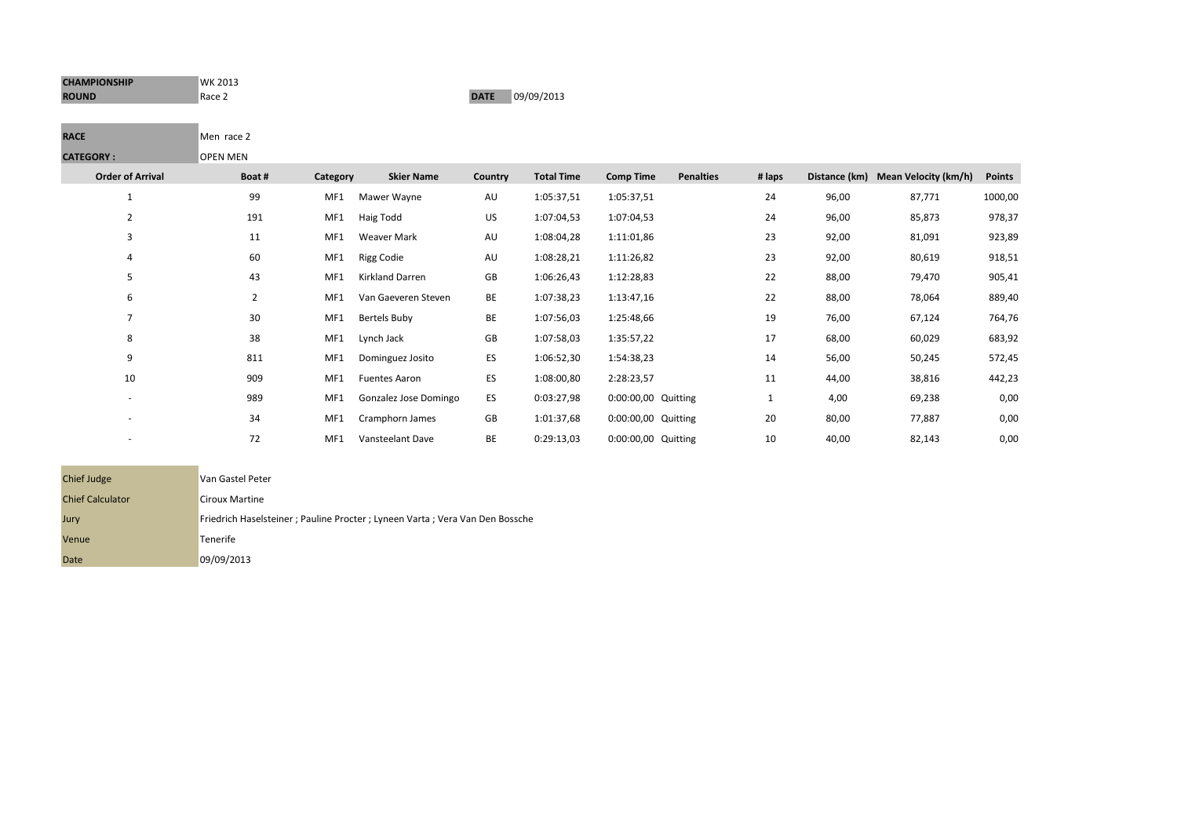| <b>CHAMPIONSHIP</b> | <b>WK 2013</b> |             |            |
|---------------------|----------------|-------------|------------|
| <b>ROUND</b>        | Race 2         | <b>DATE</b> | 09/09/2013 |

۰

**COLLEGE** 

## **RACE** Men race 2 **CATEGORY :** OPEN MEN

| <b>Order of Arrival</b>  | Boat# | Category | <b>Skier Name</b>     | Country | <b>Total Time</b> | <b>Comp Time</b>    | <b>Penalties</b> | # laps |       | Distance (km) Mean Velocity (km/h) | <b>Points</b> |
|--------------------------|-------|----------|-----------------------|---------|-------------------|---------------------|------------------|--------|-------|------------------------------------|---------------|
|                          | 99    | MF1      | Mawer Wayne           | AU      | 1:05:37,51        | 1:05:37,51          |                  | 24     | 96,00 | 87,771                             | 1000,00       |
| 2                        | 191   | MF1      | Haig Todd             | US      | 1:07:04,53        | 1:07:04,53          |                  | 24     | 96,00 | 85,873                             | 978,37        |
|                          | 11    | MF1      | Weaver Mark           | AU      | 1:08:04,28        | 1:11:01,86          |                  | 23     | 92,00 | 81,091                             | 923,89        |
| 4                        | 60    | MF1      | <b>Rigg Codie</b>     | AU      | 1:08:28,21        | 1:11:26,82          |                  | 23     | 92,00 | 80,619                             | 918,51        |
| 5                        | 43    | MF1      | Kirkland Darren       | GB      | 1:06:26,43        | 1:12:28,83          |                  | 22     | 88,00 | 79,470                             | 905,41        |
| 6                        | 2     | MF1      | Van Gaeveren Steven   | BE      | 1:07:38,23        | 1:13:47,16          |                  | 22     | 88,00 | 78,064                             | 889,40        |
| 7                        | 30    | MF1      | Bertels Buby          | BE      | 1:07:56,03        | 1:25:48,66          |                  | 19     | 76,00 | 67,124                             | 764,76        |
| 8                        | 38    | MF1      | Lynch Jack            | GB      | 1:07:58,03        | 1:35:57,22          |                  | 17     | 68,00 | 60,029                             | 683,92        |
| 9                        | 811   | MF1      | Dominguez Josito      | ES      | 1:06:52,30        | 1:54:38,23          |                  | 14     | 56,00 | 50,245                             | 572,45        |
| 10                       | 909   | MF1      | <b>Fuentes Aaron</b>  | ES      | 1:08:00,80        | 2:28:23,57          |                  | 11     | 44,00 | 38,816                             | 442,23        |
| $\overline{\phantom{a}}$ | 989   | MF1      | Gonzalez Jose Domingo | ES      | 0:03:27,98        | 0:00:00,00 Quitting |                  |        | 4,00  | 69,238                             | 0,00          |
| ۰                        | 34    | MF1      | Cramphorn James       | GB      | 1:01:37,68        | 0:00:00,00 Quitting |                  | 20     | 80,00 | 77,887                             | 0,00          |
| ۰                        | 72    | MF1      | Vansteelant Dave      | BE      | 0:29:13,03        | 0:00:00,00 Quitting |                  | 10     | 40,00 | 82,143                             | 0,00          |

| Chief Judge             | Van Gastel Peter                                                            |
|-------------------------|-----------------------------------------------------------------------------|
| <b>Chief Calculator</b> | <b>Ciroux Martine</b>                                                       |
| Jury                    | Friedrich Haselsteiner; Pauline Procter; Lyneen Varta; Vera Van Den Bossche |
| Venue                   | Tenerife                                                                    |
| Date                    | 09/09/2013                                                                  |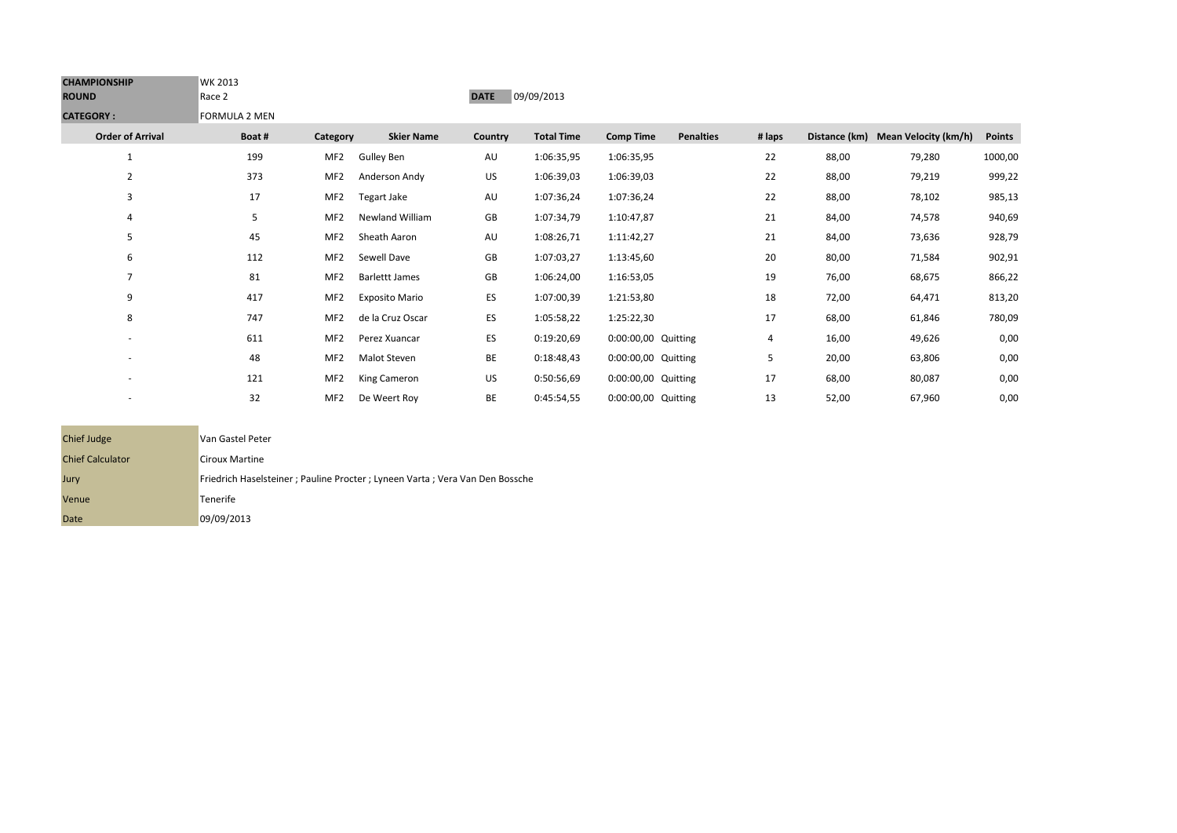| <b>CHAMPIONSHIP</b><br><b>ROUND</b> | WK 2013<br>Race 2    |                 |                       | <b>DATE</b> | 09/09/2013        |                     |                  |        |       |                                    |               |
|-------------------------------------|----------------------|-----------------|-----------------------|-------------|-------------------|---------------------|------------------|--------|-------|------------------------------------|---------------|
| <b>CATEGORY:</b>                    | <b>FORMULA 2 MEN</b> |                 |                       |             |                   |                     |                  |        |       |                                    |               |
| <b>Order of Arrival</b>             | Boat#                | Category        | <b>Skier Name</b>     | Country     | <b>Total Time</b> | <b>Comp Time</b>    | <b>Penalties</b> | # laps |       | Distance (km) Mean Velocity (km/h) | <b>Points</b> |
| $\mathbf{1}$                        | 199                  | MF <sub>2</sub> | <b>Gulley Ben</b>     | AU          | 1:06:35,95        | 1:06:35,95          |                  | 22     | 88,00 | 79,280                             | 1000,00       |
| 2                                   | 373                  | MF <sub>2</sub> | Anderson Andy         | US          | 1:06:39,03        | 1:06:39,03          |                  | 22     | 88,00 | 79,219                             | 999,22        |
| 3                                   | 17                   | MF <sub>2</sub> | Tegart Jake           | AU          | 1:07:36,24        | 1:07:36,24          |                  | 22     | 88,00 | 78,102                             | 985,13        |
| 4                                   | 5                    | MF <sub>2</sub> | Newland William       | GB          | 1:07:34,79        | 1:10:47,87          |                  | 21     | 84,00 | 74,578                             | 940,69        |
| 5                                   | 45                   | MF <sub>2</sub> | Sheath Aaron          | AU          | 1:08:26,71        | 1:11:42,27          |                  | 21     | 84,00 | 73,636                             | 928,79        |
| 6                                   | 112                  | MF <sub>2</sub> | Sewell Dave           | GB          | 1:07:03,27        | 1:13:45,60          |                  | 20     | 80,00 | 71,584                             | 902,91        |
| $\overline{7}$                      | 81                   | MF <sub>2</sub> | <b>Barlettt James</b> | GB          | 1:06:24,00        | 1:16:53,05          |                  | 19     | 76,00 | 68,675                             | 866,22        |
| 9                                   | 417                  | MF <sub>2</sub> | <b>Exposito Mario</b> | ES          | 1:07:00,39        | 1:21:53,80          |                  | 18     | 72,00 | 64,471                             | 813,20        |
| 8                                   | 747                  | MF <sub>2</sub> | de la Cruz Oscar      | ES          | 1:05:58,22        | 1:25:22,30          |                  | 17     | 68,00 | 61,846                             | 780,09        |
|                                     | 611                  | MF <sub>2</sub> | Perez Xuancar         | ES          | 0:19:20,69        | 0:00:00,00 Quitting |                  | 4      | 16,00 | 49,626                             | 0,00          |
|                                     | 48                   | MF <sub>2</sub> | Malot Steven          | BE          | 0:18:48,43        | 0:00:00,00 Quitting |                  | 5      | 20,00 | 63,806                             | 0,00          |
| $\sim$                              | 121                  | MF <sub>2</sub> | King Cameron          | US          | 0:50:56,69        | 0:00:00,00 Quitting |                  | 17     | 68,00 | 80,087                             | 0,00          |
|                                     | 32                   | MF <sub>2</sub> | De Weert Roy          | BE          | 0:45:54,55        | 0:00:00,00 Quitting |                  | 13     | 52,00 | 67,960                             | 0,00          |

| Chief Judge             | Van Gastel Peter                                                               |
|-------------------------|--------------------------------------------------------------------------------|
| <b>Chief Calculator</b> | <b>Ciroux Martine</b>                                                          |
| Jury                    | Friedrich Haselsteiner ; Pauline Procter ; Lyneen Varta ; Vera Van Den Bossche |
| Venue                   | Tenerife                                                                       |
| Date                    | 09/09/2013                                                                     |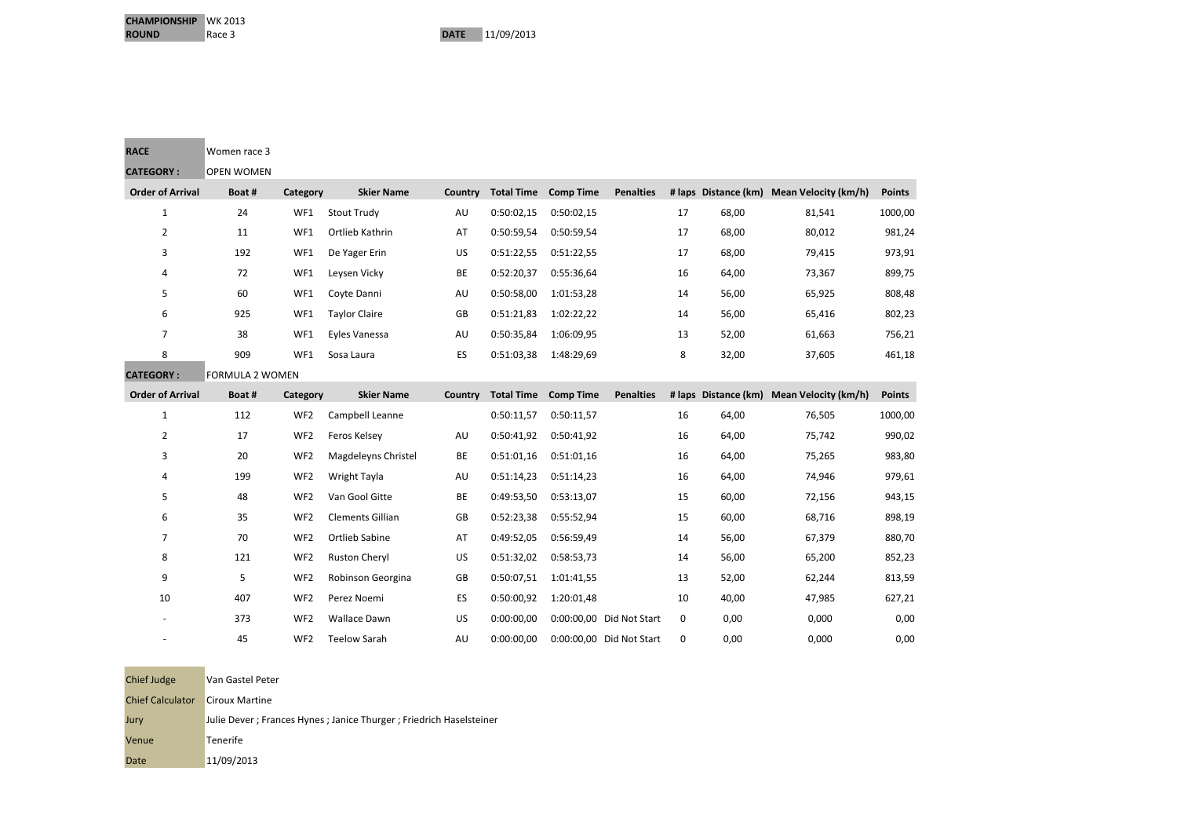**Contract Contract** 

| <b>RACE</b>             | Women race 3           |                 |                         |         |                   |                  |                          |    |       |                                           |               |
|-------------------------|------------------------|-----------------|-------------------------|---------|-------------------|------------------|--------------------------|----|-------|-------------------------------------------|---------------|
| <b>CATEGORY:</b>        | <b>OPEN WOMEN</b>      |                 |                         |         |                   |                  |                          |    |       |                                           |               |
| <b>Order of Arrival</b> | Boat#                  | Category        | <b>Skier Name</b>       | Country | <b>Total Time</b> | <b>Comp Time</b> | <b>Penalties</b>         |    |       | # laps Distance (km) Mean Velocity (km/h) | <b>Points</b> |
| $\mathbf{1}$            | 24                     | WF1             | <b>Stout Trudy</b>      | AU      | 0:50:02,15        | 0:50:02,15       |                          | 17 | 68,00 | 81,541                                    | 1000,00       |
| $\overline{2}$          | 11                     | WF1             | Ortlieb Kathrin         | AT      | 0:50:59,54        | 0:50:59,54       |                          | 17 | 68,00 | 80,012                                    | 981,24        |
| 3                       | 192                    | WF1             | De Yager Erin           | US      | 0:51:22,55        | 0:51:22,55       |                          | 17 | 68,00 | 79,415                                    | 973,91        |
| 4                       | 72                     | WF1             | Leysen Vicky            | BE      | 0:52:20,37        | 0:55:36,64       |                          | 16 | 64,00 | 73,367                                    | 899,75        |
| 5                       | 60                     | WF1             | Coyte Danni             | AU      | 0:50:58,00        | 1:01:53,28       |                          | 14 | 56,00 | 65,925                                    | 808,48        |
| 6                       | 925                    | WF1             | <b>Taylor Claire</b>    | GB      | 0:51:21,83        | 1:02:22,22       |                          | 14 | 56,00 | 65,416                                    | 802,23        |
| 7                       | 38                     | WF1             | Eyles Vanessa           | AU      | 0:50:35,84        | 1:06:09,95       |                          | 13 | 52,00 | 61,663                                    | 756,21        |
| 8                       | 909                    | WF1             | Sosa Laura              | ES      | 0:51:03,38        | 1:48:29,69       |                          | 8  | 32,00 | 37,605                                    | 461,18        |
| <b>CATEGORY:</b>        | <b>FORMULA 2 WOMEN</b> |                 |                         |         |                   |                  |                          |    |       |                                           |               |
| <b>Order of Arrival</b> | Boat#                  | Category        | <b>Skier Name</b>       | Country | <b>Total Time</b> | <b>Comp Time</b> | <b>Penalties</b>         |    |       | # laps Distance (km) Mean Velocity (km/h) | <b>Points</b> |
| 1                       | 112                    | WF <sub>2</sub> | Campbell Leanne         |         | 0:50:11,57        | 0:50:11,57       |                          | 16 | 64,00 | 76,505                                    | 1000,00       |
| 2                       | 17                     | WF <sub>2</sub> | Feros Kelsey            | AU      | 0:50:41,92        | 0:50:41,92       |                          | 16 | 64,00 | 75,742                                    | 990,02        |
| 3                       | 20                     | WF <sub>2</sub> | Magdeleyns Christel     | BE      | 0:51:01,16        | 0:51:01,16       |                          | 16 | 64,00 | 75,265                                    | 983,80        |
| 4                       | 199                    | WF <sub>2</sub> | Wright Tayla            | AU      | 0:51:14,23        | 0:51:14,23       |                          | 16 | 64,00 | 74,946                                    | 979,61        |
| 5                       | 48                     | WF <sub>2</sub> | Van Gool Gitte          | BE      | 0:49:53,50        | 0:53:13,07       |                          | 15 | 60,00 | 72,156                                    | 943,15        |
| 6                       | 35                     | WF <sub>2</sub> | <b>Clements Gillian</b> | GB      | 0:52:23,38        | 0:55:52,94       |                          | 15 | 60,00 | 68,716                                    | 898,19        |
| 7                       | 70                     | WF <sub>2</sub> | <b>Ortlieb Sabine</b>   | AT      | 0:49:52,05        | 0:56:59,49       |                          | 14 | 56,00 | 67,379                                    | 880,70        |
| 8                       | 121                    | WF <sub>2</sub> | <b>Ruston Cheryl</b>    | US      | 0:51:32,02        | 0:58:53,73       |                          | 14 | 56,00 | 65,200                                    | 852,23        |
| 9                       | 5                      | WF <sub>2</sub> | Robinson Georgina       | GB      | 0:50:07,51        | 1:01:41,55       |                          | 13 | 52,00 | 62,244                                    | 813,59        |
| 10                      | 407                    | WF <sub>2</sub> | Perez Noemi             | ES      | 0:50:00,92        | 1:20:01,48       |                          | 10 | 40,00 | 47,985                                    | 627,21        |
|                         | 373                    | WF <sub>2</sub> | Wallace Dawn            | US      | 0:00:00,00        |                  | 0:00:00,00 Did Not Start | 0  | 0,00  | 0,000                                     | 0,00          |
|                         | 45                     | WF <sub>2</sub> | <b>Teelow Sarah</b>     | AU      | 0:00:00,00        |                  | 0:00:00,00 Did Not Start | 0  | 0,00  | 0,000                                     | 0,00          |

| Chief Judge             | Van Gastel Peter                                                   |
|-------------------------|--------------------------------------------------------------------|
| <b>Chief Calculator</b> | Ciroux Martine                                                     |
| Jury                    | Julie Dever; Frances Hynes; Janice Thurger; Friedrich Haselsteiner |
| Venue                   | Tenerife                                                           |
| Date                    | 11/09/2013                                                         |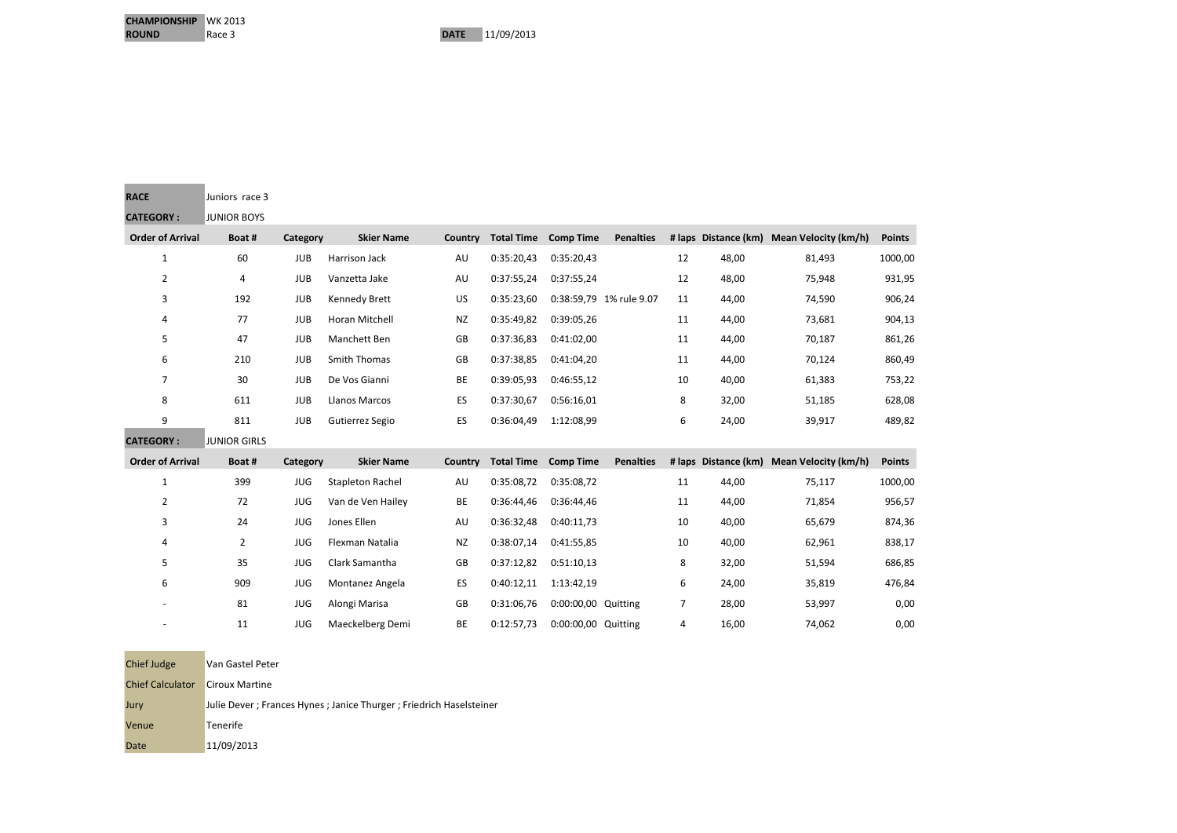**Contract Contract Contract** 

**Contract Contract** 

| <b>RACE</b>             | Juniors race 3      |            |                         |           |                   |                     |                         |    |                      |                                           |               |
|-------------------------|---------------------|------------|-------------------------|-----------|-------------------|---------------------|-------------------------|----|----------------------|-------------------------------------------|---------------|
| <b>CATEGORY:</b>        | <b>JUNIOR BOYS</b>  |            |                         |           |                   |                     |                         |    |                      |                                           |               |
| <b>Order of Arrival</b> | Boat#               | Category   | <b>Skier Name</b>       | Country   | <b>Total Time</b> | <b>Comp Time</b>    | <b>Penalties</b>        |    |                      | # laps Distance (km) Mean Velocity (km/h) | <b>Points</b> |
| $\mathbf{1}$            | 60                  | <b>JUB</b> | Harrison Jack           | AU        | 0:35:20,43        | 0:35:20,43          |                         | 12 | 48,00                | 81,493                                    | 1000,00       |
| $\overline{2}$          | 4                   | <b>JUB</b> | Vanzetta Jake           | AU        | 0:37:55,24        | 0:37:55,24          |                         | 12 | 48,00                | 75,948                                    | 931,95        |
| 3                       | 192                 | <b>JUB</b> | Kennedy Brett           | US        | 0:35:23,60        |                     | 0:38:59,79 1% rule 9.07 | 11 | 44,00                | 74,590                                    | 906,24        |
| 4                       | 77                  | <b>JUB</b> | Horan Mitchell          | <b>NZ</b> | 0:35:49,82        | 0:39:05,26          |                         | 11 | 44,00                | 73,681                                    | 904,13        |
| 5                       | 47                  | <b>JUB</b> | Manchett Ben            | GB        | 0:37:36,83        | 0:41:02,00          |                         | 11 | 44,00                | 70,187                                    | 861,26        |
| 6                       | 210                 | <b>JUB</b> | Smith Thomas            | GB        | 0:37:38,85        | 0:41:04,20          |                         | 11 | 44,00                | 70,124                                    | 860,49        |
| 7                       | 30                  | <b>JUB</b> | De Vos Gianni           | BE        | 0:39:05,93        | 0:46:55,12          |                         | 10 | 40,00                | 61,383                                    | 753,22        |
| 8                       | 611                 | <b>JUB</b> | Llanos Marcos           | ES        | 0:37:30,67        | 0:56:16,01          |                         | 8  | 32,00                | 51,185                                    | 628,08        |
|                         | 811                 | <b>JUB</b> | Gutierrez Segio         | ES        | 0:36:04,49        | 1:12:08,99          |                         | 6  | 24,00                | 39,917                                    | 489,82        |
| 9                       |                     |            |                         |           |                   |                     |                         |    |                      |                                           |               |
| <b>CATEGORY:</b>        | <b>JUNIOR GIRLS</b> |            |                         |           |                   |                     |                         |    |                      |                                           |               |
| <b>Order of Arrival</b> | Boat#               | Category   | <b>Skier Name</b>       | Country   | <b>Total Time</b> | <b>Comp Time</b>    | <b>Penalties</b>        |    | # laps Distance (km) | <b>Mean Velocity (km/h)</b>               | <b>Points</b> |
| $\mathbf{1}$            | 399                 | <b>JUG</b> | <b>Stapleton Rachel</b> | AU        | 0:35:08,72        | 0:35:08,72          |                         | 11 | 44,00                | 75,117                                    | 1000,00       |
| $\overline{2}$          | 72                  | <b>JUG</b> | Van de Ven Hailey       | BE        | 0:36:44,46        | 0:36:44,46          |                         | 11 | 44,00                | 71,854                                    | 956,57        |
| 3                       | 24                  | <b>JUG</b> | Jones Ellen             | AU        | 0:36:32,48        | 0:40:11,73          |                         | 10 | 40,00                | 65,679                                    | 874,36        |
| 4                       | $\overline{2}$      | <b>JUG</b> | Flexman Natalia         | <b>NZ</b> | 0:38:07,14        | 0:41:55,85          |                         | 10 | 40,00                | 62,961                                    | 838,17        |
| 5                       | 35                  | <b>JUG</b> | Clark Samantha          | GB        | 0:37:12,82        | 0:51:10.13          |                         | 8  | 32,00                | 51,594                                    | 686,85        |
| 6                       | 909                 | <b>JUG</b> | Montanez Angela         | ES        | 0:40:12,11        | 1:13:42,19          |                         | 6  | 24,00                | 35,819                                    | 476,84        |
|                         | 81                  | JUG        | Alongi Marisa           | GB        | 0:31:06,76        | 0:00:00,00 Quitting |                         | 7  | 28,00                | 53,997                                    | 0,00          |
|                         | 11                  | <b>JUG</b> | Maeckelberg Demi        | BE        | 0:12:57,73        | 0:00:00,00 Quitting |                         | 4  | 16,00                | 74,062                                    | 0,00          |

| Chief Judge             | Van Gastel Peter                                                   |
|-------------------------|--------------------------------------------------------------------|
| <b>Chief Calculator</b> | <b>Ciroux Martine</b>                                              |
| Jury                    | Julie Dever; Frances Hynes; Janice Thurger; Friedrich Haselsteiner |
| Venue                   | Tenerife                                                           |
| Date                    | 11/09/2013                                                         |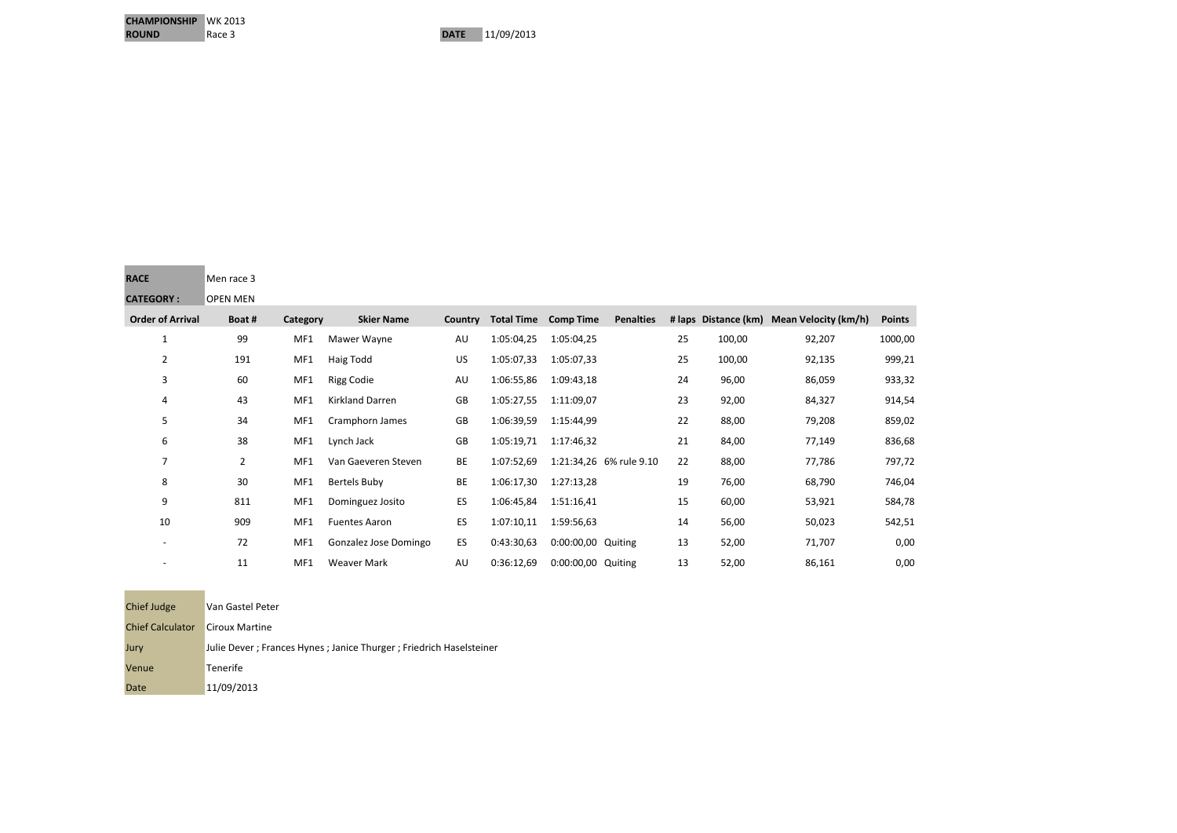| <b>RACE</b>      | Men race 3      |
|------------------|-----------------|
| <b>CATEGORY:</b> | <b>OPEN MEN</b> |

**CHAMPIONSHIP** WK 2013<br>**ROUND** Race 3

| <b>Order of Arrival</b> | Boat # | Category | <b>Skier Name</b>     | Country | <b>Total Time</b> | <b>Comp Time</b>   | <b>Penalties</b>        |    |        | # laps Distance (km) Mean Velocity (km/h) | <b>Points</b> |
|-------------------------|--------|----------|-----------------------|---------|-------------------|--------------------|-------------------------|----|--------|-------------------------------------------|---------------|
| $\mathbf{1}$            | 99     | MF1      | Mawer Wayne           | AU      | 1:05:04,25        | 1:05:04,25         |                         | 25 | 100,00 | 92,207                                    | 1000,00       |
| $\overline{2}$          | 191    | MF1      | Haig Todd             | US      | 1:05:07,33        | 1:05:07,33         |                         | 25 | 100,00 | 92,135                                    | 999,21        |
| 3                       | 60     | MF1      | <b>Rigg Codie</b>     | AU      | 1:06:55,86        | 1:09:43,18         |                         | 24 | 96,00  | 86,059                                    | 933,32        |
| 4                       | 43     | MF1      | Kirkland Darren       | GB      | 1:05:27,55        | 1:11:09,07         |                         | 23 | 92,00  | 84,327                                    | 914,54        |
| 5                       | 34     | MF1      | Cramphorn James       | GB      | 1:06:39,59        | 1:15:44,99         |                         | 22 | 88,00  | 79,208                                    | 859,02        |
| 6                       | 38     | MF1      | Lynch Jack            | GB      | 1:05:19,71        | 1:17:46,32         |                         | 21 | 84,00  | 77,149                                    | 836,68        |
| 7                       | 2      | MF1      | Van Gaeveren Steven   | BE      | 1:07:52,69        |                    | 1:21:34,26 6% rule 9.10 | 22 | 88,00  | 77,786                                    | 797,72        |
| 8                       | 30     | MF1      | Bertels Buby          | BE      | 1:06:17,30        | 1:27:13,28         |                         | 19 | 76,00  | 68,790                                    | 746,04        |
| 9                       | 811    | MF1      | Dominguez Josito      | ES      | 1:06:45,84        | 1:51:16,41         |                         | 15 | 60,00  | 53,921                                    | 584,78        |
| 10                      | 909    | MF1      | <b>Fuentes Aaron</b>  | ES      | 1:07:10,11        | 1:59:56,63         |                         | 14 | 56,00  | 50,023                                    | 542,51        |
|                         | 72     | MF1      | Gonzalez Jose Domingo | ES      | 0:43:30,63        | 0:00:00,00 Quiting |                         | 13 | 52,00  | 71,707                                    | 0,00          |
|                         | 11     | MF1      | <b>Weaver Mark</b>    | AU      | 0:36:12,69        | 0:00:00,00 Quiting |                         | 13 | 52,00  | 86,161                                    | 0,00          |

| Chief Judge             | Van Gastel Peter                                                   |
|-------------------------|--------------------------------------------------------------------|
| <b>Chief Calculator</b> | <b>Ciroux Martine</b>                                              |
| Jury                    | Julie Dever; Frances Hynes; Janice Thurger; Friedrich Haselsteiner |
| Venue                   | Tenerife                                                           |
| Date                    | 11/09/2013                                                         |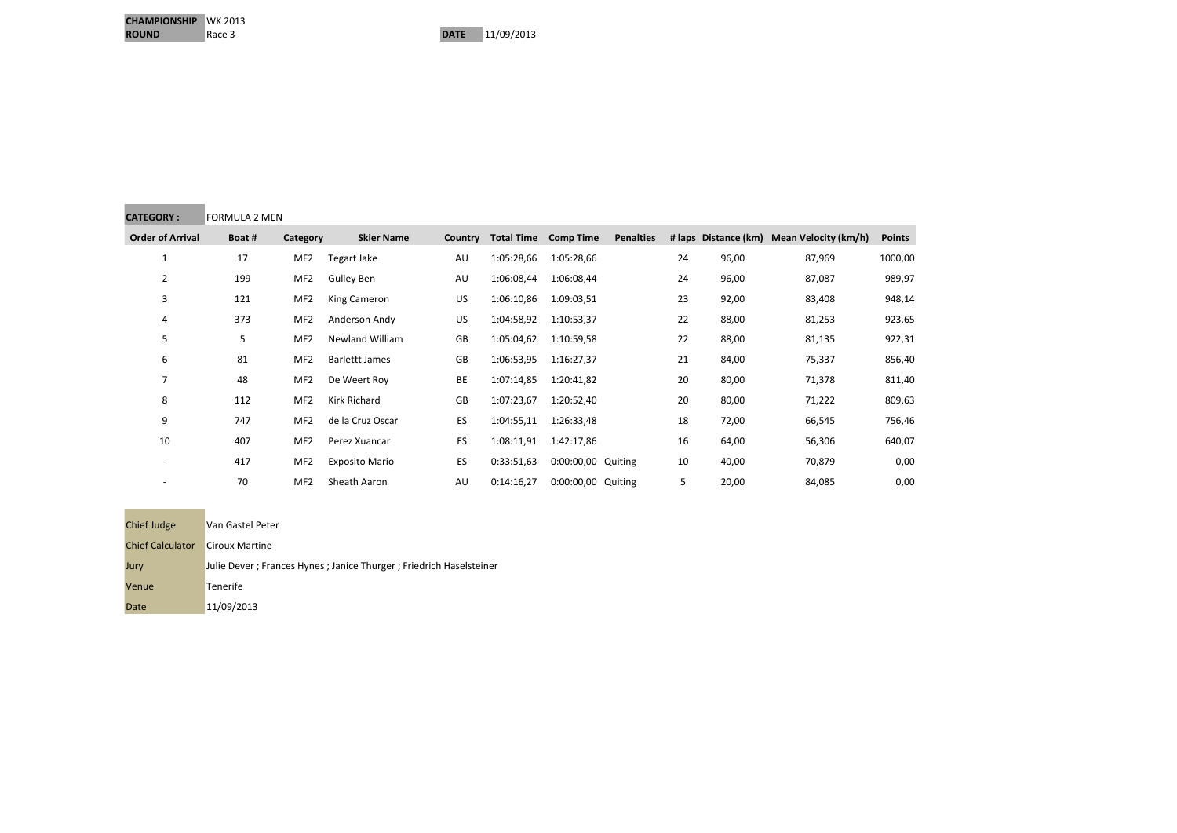| <b>CATEGORY:</b>        | <b>FORMULA 2 MEN</b> |                 |                        |         |                   |                    |                  |    |       |                                           |               |
|-------------------------|----------------------|-----------------|------------------------|---------|-------------------|--------------------|------------------|----|-------|-------------------------------------------|---------------|
| <b>Order of Arrival</b> | Boat#                | Category        | <b>Skier Name</b>      | Country | <b>Total Time</b> | <b>Comp Time</b>   | <b>Penalties</b> |    |       | # laps Distance (km) Mean Velocity (km/h) | <b>Points</b> |
| 1                       | 17                   | MF <sub>2</sub> | Tegart Jake            | AU      | 1:05:28,66        | 1:05:28,66         |                  | 24 | 96,00 | 87,969                                    | 1000,00       |
| 2                       | 199                  | MF <sub>2</sub> | Gulley Ben             | AU      | 1:06:08,44        | 1:06:08,44         |                  | 24 | 96,00 | 87,087                                    | 989,97        |
| 3                       | 121                  | MF <sub>2</sub> | King Cameron           | US.     | 1:06:10,86        | 1:09:03,51         |                  | 23 | 92,00 | 83,408                                    | 948,14        |
| 4                       | 373                  | MF <sub>2</sub> | Anderson Andy          | US.     | 1:04:58,92        | 1:10:53,37         |                  | 22 | 88,00 | 81,253                                    | 923,65        |
| 5                       | 5                    | MF <sub>2</sub> | <b>Newland William</b> | GB      | 1:05:04,62        | 1:10:59,58         |                  | 22 | 88,00 | 81,135                                    | 922,31        |
| 6                       | 81                   | MF <sub>2</sub> | <b>Barlettt James</b>  | GB      | 1:06:53,95        | 1:16:27,37         |                  | 21 | 84,00 | 75,337                                    | 856,40        |
| $\overline{7}$          | 48                   | MF <sub>2</sub> | De Weert Roy           | BE      | 1:07:14,85        | 1:20:41,82         |                  | 20 | 80,00 | 71,378                                    | 811,40        |
| 8                       | 112                  | MF <sub>2</sub> | Kirk Richard           | GB      | 1:07:23,67        | 1:20:52,40         |                  | 20 | 80,00 | 71,222                                    | 809,63        |
| 9                       | 747                  | MF <sub>2</sub> | de la Cruz Oscar       | ES      | 1:04:55,11        | 1:26:33,48         |                  | 18 | 72,00 | 66,545                                    | 756,46        |
| 10                      | 407                  | MF <sub>2</sub> | Perez Xuancar          | ES      | 1:08:11,91        | 1:42:17,86         |                  | 16 | 64,00 | 56,306                                    | 640,07        |
|                         | 417                  | MF <sub>2</sub> | <b>Exposito Mario</b>  | ES      | 0:33:51,63        | 0:00:00,00 Quiting |                  | 10 | 40,00 | 70,879                                    | 0,00          |
|                         | 70                   | MF <sub>2</sub> | Sheath Aaron           | AU      | 0:14:16.27        | 0:00:00,00 Quiting |                  | 5  | 20,00 | 84,085                                    | 0,00          |

| <b>Chief Judge</b>      | Van Gastel Peter                                                      |
|-------------------------|-----------------------------------------------------------------------|
| <b>Chief Calculator</b> | Ciroux Martine                                                        |
| Jury                    | Julie Dever ; Frances Hynes ; Janice Thurger ; Friedrich Haselsteiner |
| Venue                   | <b>Tenerife</b>                                                       |
| Date                    | 11/09/2013                                                            |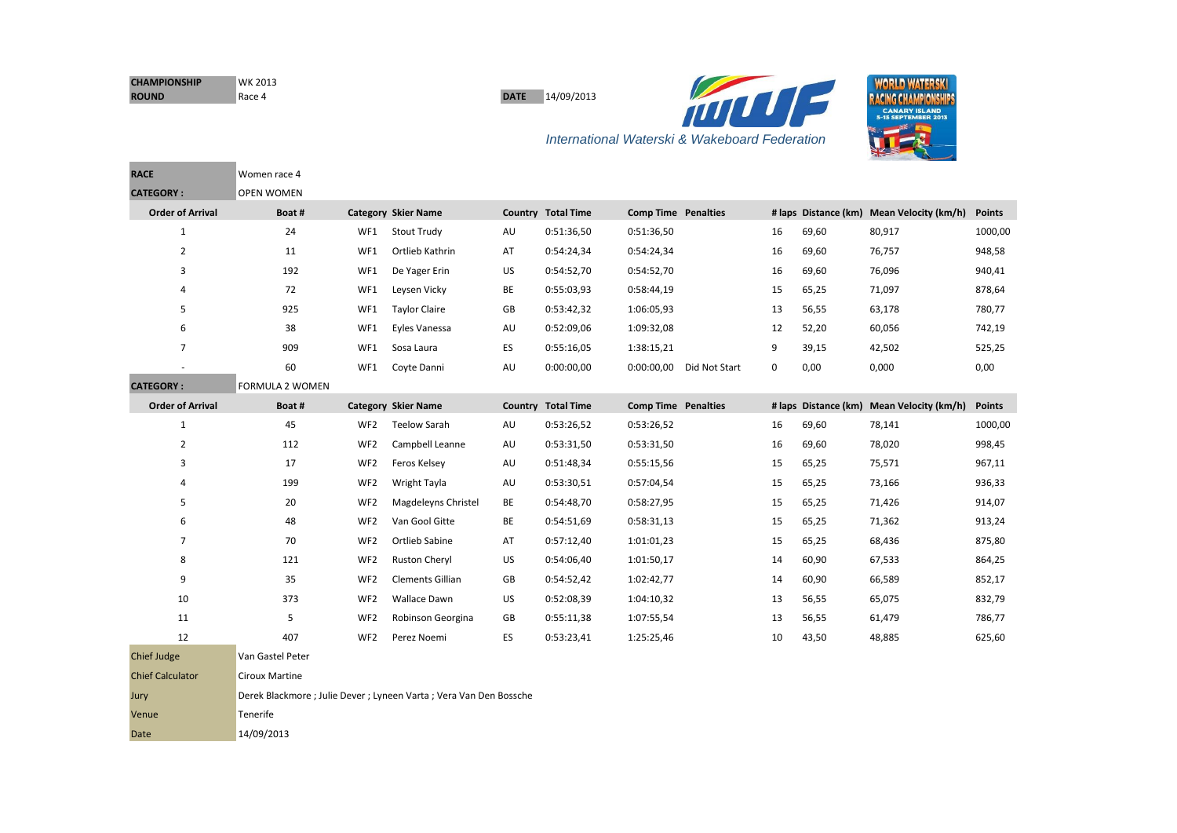| <b>CHAMPIONSHIP</b> | WK 2013 |
|---------------------|---------|
| <b>ROUND</b>        | Race 4  |

**DATE** 14/09/2013





**RACE** Women race 4 **CATEGORY : OPEN WOMEN Order of Arrival Boat # Category Skier Name Country Total Time Comp Time Penalties # laps Distance (km) Mean Velocity (km/h) Points** 24 WF1 Stout Trudy AU 0:51:36,50 0:51:36,50 16 69,60 80,917 1000,00 11 WF1 Ortlieb Kathrin AT 0:54:24,34 0:54:24,34 16 69,60 76,757 948,58 192 WF1 De Yager Erin US 0:54:52,70 0:54:52,70 16 69,60 76,096 940,41 72 WF1 Leysen Vicky BE 0:55:03,93 0:58:44,19 15 65,25 71,097 878,64 5 925 WF1 Taylor Claire GB 0:53:42,32 1:06:05,93 13 56,55 63,178 780,77 38 WF1 Eyles Vanessa AU 0:52:09,06 1:09:32,08 12 52,20 60,056 742,19 909 WF1 Sosa Laura ES 0:55:16,05 1:38:15,21 9 39,15 42,502 525,25 - 60 WF1 Coyte Danni AU 0:00:00,00 0:00:00,00 Did Not Start 0 0,00 0,000 0,00 **CATEGORY :** FORMULA 2 WOMEN **Order of Arrival Boat # Category Skier Name Country Total Time Comp Time Penalties # laps Distance (km) Mean Velocity (km/h) Points** 45 WF2 Teelow Sarah AU 0:53:26,52 0:53:26,52 16 69,60 78,141 1000,00 112 WF2 Campbell Leanne AU 0:53:31,50 0:53:31,50 16 69,60 78,020 998,45 17 WF2 Feros Kelsey AU 0:51:48,34 0:55:15,56 15 65,25 75,571 967,11 199 WF2 Wright Tayla AU 0:53:30,51 0:57:04,54 15 65,25 73,166 936,33 5 15 20 WF2 Magdeleyns Christel BE 0:54:48,70 0:58:27,95 15 65,25 71,426 914,07 48 WF2 Van Gool Gitte BE 0:54:51,69 0:58:31,13 15 65,25 71,362 913,24 70 WF2 Ortlieb Sabine AT 0:57:12,40 1:01:01,23 15 65,25 68,436 875,80 121 WF2 Ruston Cheryl US 0:54:06,40 1:01:50,17 14 60,90 67,533 864,25 35 WF2 Clements Gillian GB 0:54:52,42 1:02:42,77 14 60,90 66,589 852,17 373 WF2 Wallace Dawn US 0:52:08,39 1:04:10,32 13 56,55 65,075 832,79 11 5 S WF2 Robinson Georgina GB 0:55:11,38 1:07:55,54 13 56,55 61,479 786,77 407 WF2 Perez Noemi ES 0:53:23,41 1:25:25,46 10 43,50 48,885 625,60

| <b>Chief Judge</b>      | Van Gastel Peter                                                    |
|-------------------------|---------------------------------------------------------------------|
| <b>Chief Calculator</b> | <b>Ciroux Martine</b>                                               |
| Jury                    | Derek Blackmore ; Julie Dever ; Lyneen Varta ; Vera Van Den Bossche |
| Venue                   | <b>Tenerife</b>                                                     |
| Date                    | 14/09/2013                                                          |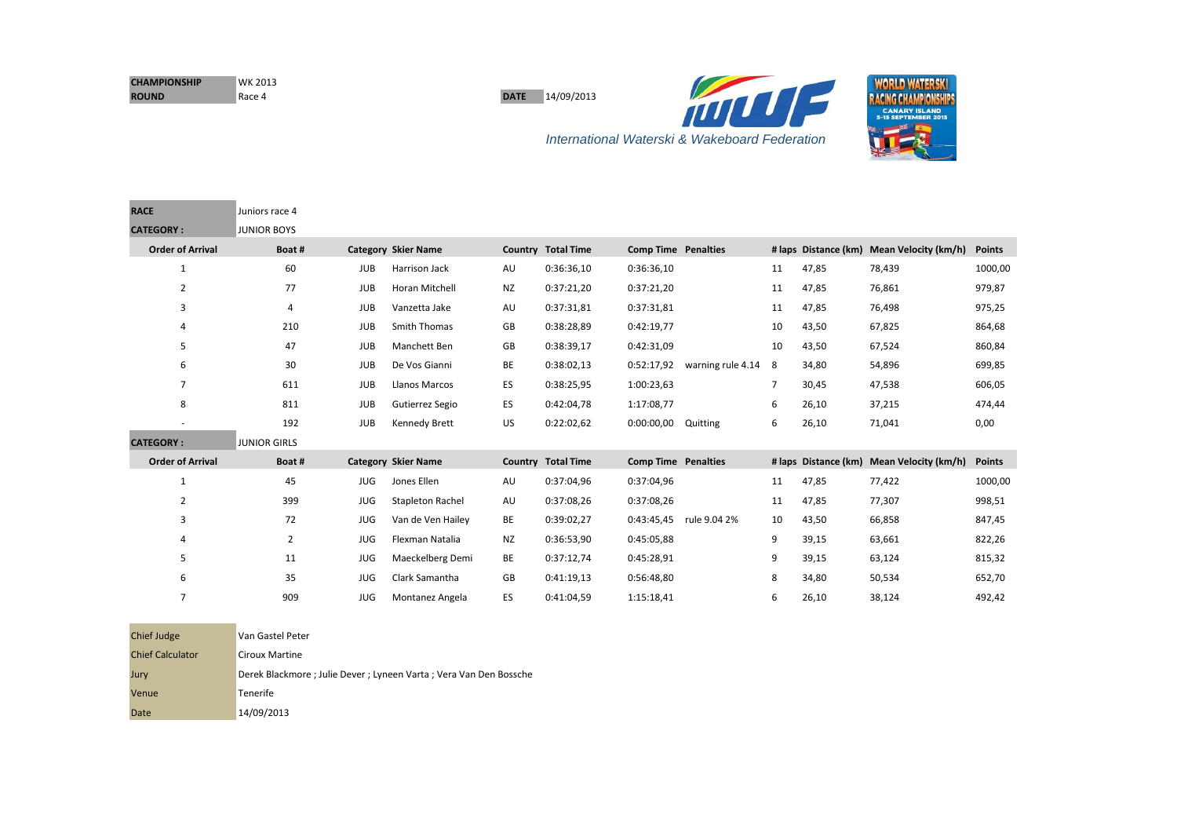| <b>CHAMPIONSHIP</b> | WK 2013 |
|---------------------|---------|
| <b>ROUND</b>        | Race 4  |

**RACE** Juniors race 4

<u> 1980 - Antonio Alemania, presidente del conte</u>

**DATE** 14/09/2013





| <b>KALE</b>             | Juniors race 4      |            |                            |           |                           |                            |                   |                |                      |                                           |               |
|-------------------------|---------------------|------------|----------------------------|-----------|---------------------------|----------------------------|-------------------|----------------|----------------------|-------------------------------------------|---------------|
| <b>CATEGORY:</b>        | <b>JUNIOR BOYS</b>  |            |                            |           |                           |                            |                   |                |                      |                                           |               |
| <b>Order of Arrival</b> | Boat#               |            | <b>Category Skier Name</b> |           | <b>Country Total Time</b> | <b>Comp Time Penalties</b> |                   |                |                      | # laps Distance (km) Mean Velocity (km/h) | <b>Points</b> |
| $\mathbf{1}$            | 60                  | <b>JUB</b> | Harrison Jack              | AU        | 0:36:36,10                | 0:36:36,10                 |                   | 11             | 47,85                | 78,439                                    | 1000,00       |
| $\overline{2}$          | 77                  | <b>JUB</b> | Horan Mitchell             | <b>NZ</b> | 0:37:21,20                | 0:37:21,20                 |                   | 11             | 47,85                | 76,861                                    | 979,87        |
| 3                       | $\overline{4}$      | <b>JUB</b> | Vanzetta Jake              | AU        | 0:37:31,81                | 0:37:31,81                 |                   | 11             | 47,85                | 76,498                                    | 975,25        |
| 4                       | 210                 | <b>JUB</b> | <b>Smith Thomas</b>        | GB        | 0:38:28,89                | 0:42:19.77                 |                   | 10             | 43,50                | 67,825                                    | 864,68        |
| 5                       | 47                  | <b>JUB</b> | Manchett Ben               | GB        | 0:38:39,17                | 0:42:31,09                 |                   | 10             | 43,50                | 67,524                                    | 860,84        |
| 6                       | 30                  | <b>JUB</b> | De Vos Gianni              | BE        | 0:38:02,13                | 0:52:17,92                 | warning rule 4.14 | 8              | 34,80                | 54,896                                    | 699,85        |
| $\overline{7}$          | 611                 | <b>JUB</b> | Llanos Marcos              | ES        | 0:38:25,95                | 1:00:23,63                 |                   | $\overline{7}$ | 30,45                | 47,538                                    | 606,05        |
| 8                       | 811                 | <b>JUB</b> | Gutierrez Segio            | ES        | 0:42:04,78                | 1:17:08,77                 |                   | 6              | 26,10                | 37,215                                    | 474,44        |
| ٠                       | 192                 | <b>JUB</b> | Kennedy Brett              | US        | 0:22:02,62                | 0:00:00,00                 | Quitting          | 6              | 26,10                | 71,041                                    | 0,00          |
| <b>CATEGORY:</b>        | <b>JUNIOR GIRLS</b> |            |                            |           |                           |                            |                   |                |                      |                                           |               |
| <b>Order of Arrival</b> | Boat#               |            | <b>Category Skier Name</b> |           | <b>Country Total Time</b> | <b>Comp Time Penalties</b> |                   |                | # laps Distance (km) | Mean Velocity (km/h)                      | <b>Points</b> |
| $\mathbf{1}$            | 45                  | JUG        | Jones Ellen                | AU        | 0:37:04,96                | 0:37:04,96                 |                   | 11             | 47,85                | 77,422                                    | 1000,00       |
| $\overline{2}$          | 399                 | <b>JUG</b> | <b>Stapleton Rachel</b>    | AU        | 0:37:08,26                | 0:37:08,26                 |                   | 11             | 47,85                | 77,307                                    | 998,51        |
| 3                       | 72                  | <b>JUG</b> | Van de Ven Hailey          | BE        | 0:39:02,27                | 0:43:45,45                 | rule 9.04 2%      | 10             | 43,50                | 66,858                                    | 847,45        |
| 4                       | $\overline{2}$      | <b>JUG</b> | Flexman Natalia            | <b>NZ</b> | 0:36:53,90                | 0:45:05,88                 |                   | 9              | 39,15                | 63,661                                    | 822,26        |
| 5                       | 11                  | <b>JUG</b> | Maeckelberg Demi           | <b>BE</b> | 0:37:12,74                | 0:45:28,91                 |                   | 9              | 39,15                | 63,124                                    | 815,32        |
| 6                       | 35                  | <b>JUG</b> | Clark Samantha             | GB        | 0:41:19.13                | 0:56:48,80                 |                   | 8              | 34,80                | 50,534                                    | 652,70        |
| 7                       | 909                 | <b>JUG</b> | Montanez Angela            | ES        | 0:41:04,59                | 1:15:18,41                 |                   | 6              | 26,10                | 38,124                                    | 492,42        |

| <b>Chief Judge</b>      | Van Gastel Peter                                                    |
|-------------------------|---------------------------------------------------------------------|
| <b>Chief Calculator</b> | Ciroux Martine                                                      |
| Jury                    | Derek Blackmore ; Julie Dever ; Lyneen Varta ; Vera Van Den Bossche |
| Venue                   | <b>Tenerife</b>                                                     |
| Date                    | 14/09/2013                                                          |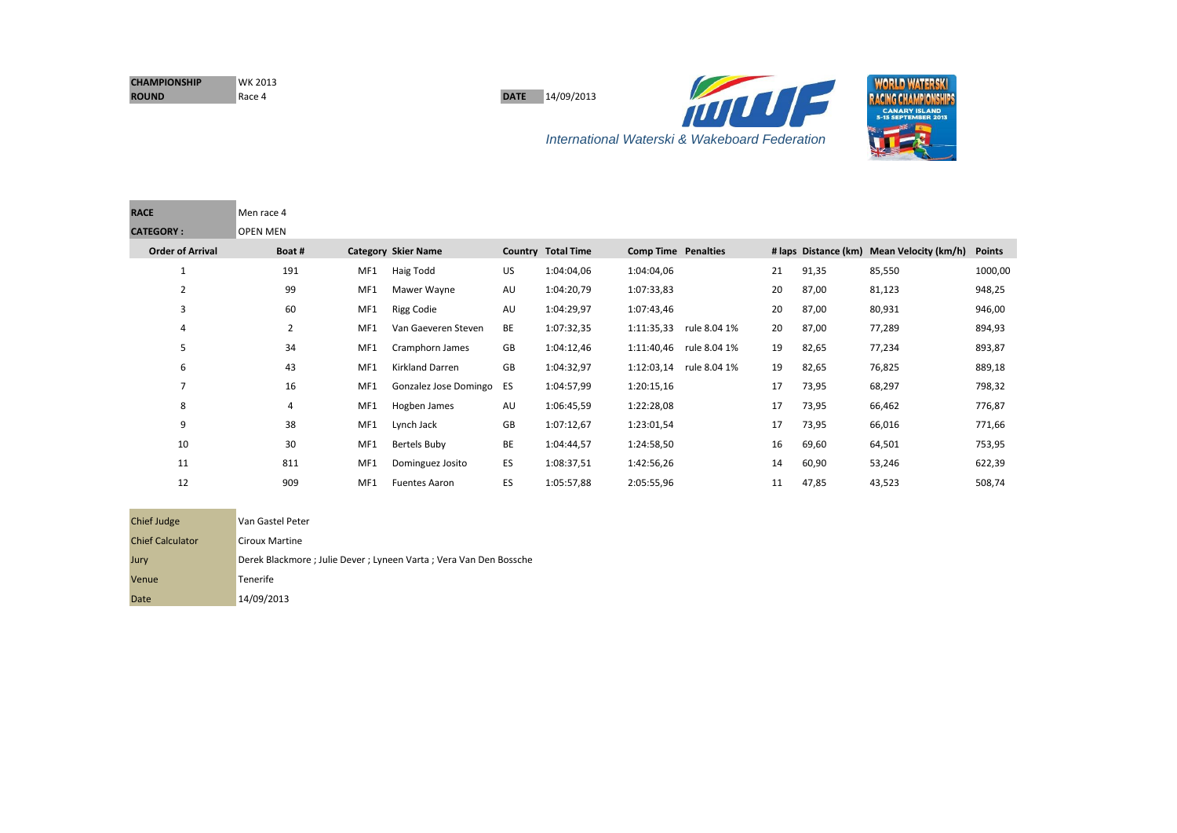| <b>CHAMPIONSHIP</b> | <b>WK 2013</b> |
|---------------------|----------------|
| <b>ROUND</b>        | Race 4         |

**DATE** 14/09/2013





| <b>Chief Judge</b>      | Van Gastel Peter                                                    |
|-------------------------|---------------------------------------------------------------------|
| <b>Chief Calculator</b> | Ciroux Martine                                                      |
| Jury                    | Derek Blackmore ; Julie Dever ; Lyneen Varta ; Vera Van Den Bossche |
| Venue                   | <b>Tenerife</b>                                                     |
| Date                    | 14/09/2013                                                          |